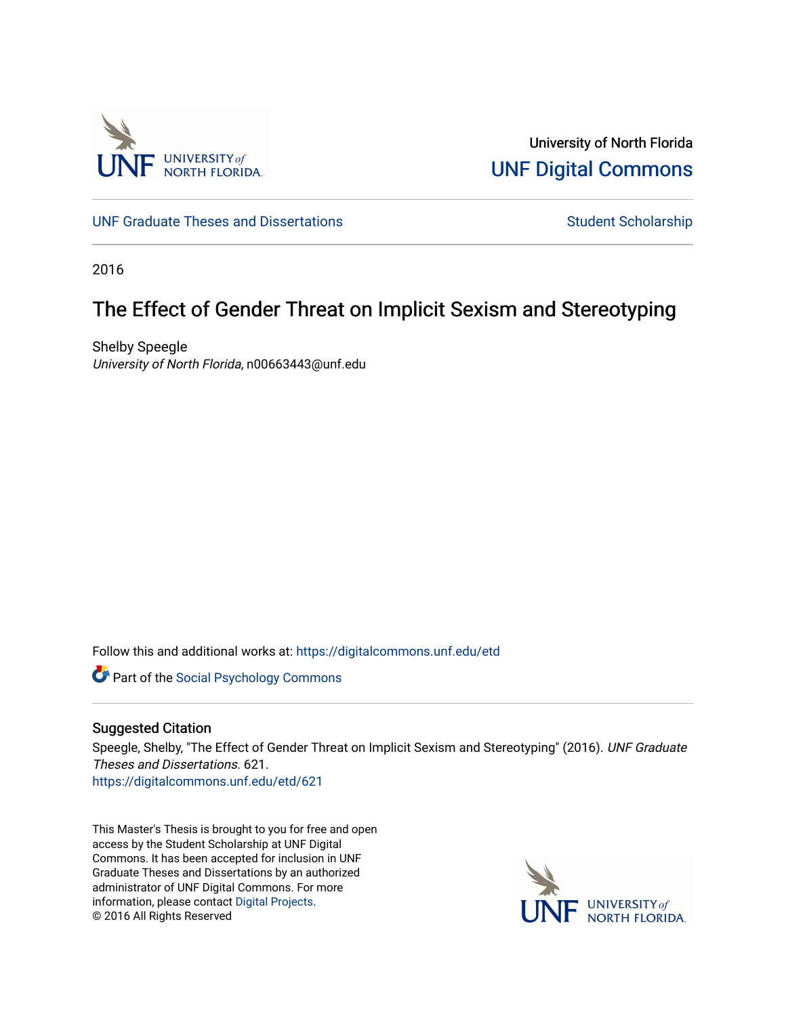

University of North Florida [UNF Digital Commons](https://digitalcommons.unf.edu/) 

[UNF Graduate Theses and Dissertations](https://digitalcommons.unf.edu/etd) [Student Scholarship](https://digitalcommons.unf.edu/student_scholars) Student Scholarship

2016

# The Effect of Gender Threat on Implicit Sexism and Stereotyping

Shelby Speegle University of North Florida, n00663443@unf.edu

Follow this and additional works at: [https://digitalcommons.unf.edu/etd](https://digitalcommons.unf.edu/etd?utm_source=digitalcommons.unf.edu%2Fetd%2F621&utm_medium=PDF&utm_campaign=PDFCoverPages) 

**Part of the Social Psychology Commons** 

## Suggested Citation

Speegle, Shelby, "The Effect of Gender Threat on Implicit Sexism and Stereotyping" (2016). UNF Graduate Theses and Dissertations. 621.

[https://digitalcommons.unf.edu/etd/621](https://digitalcommons.unf.edu/etd/621?utm_source=digitalcommons.unf.edu%2Fetd%2F621&utm_medium=PDF&utm_campaign=PDFCoverPages) 

This Master's Thesis is brought to you for free and open access by the Student Scholarship at UNF Digital Commons. It has been accepted for inclusion in UNF Graduate Theses and Dissertations by an authorized administrator of UNF Digital Commons. For more information, please contact [Digital Projects](mailto:lib-digital@unf.edu). © 2016 All Rights Reserved

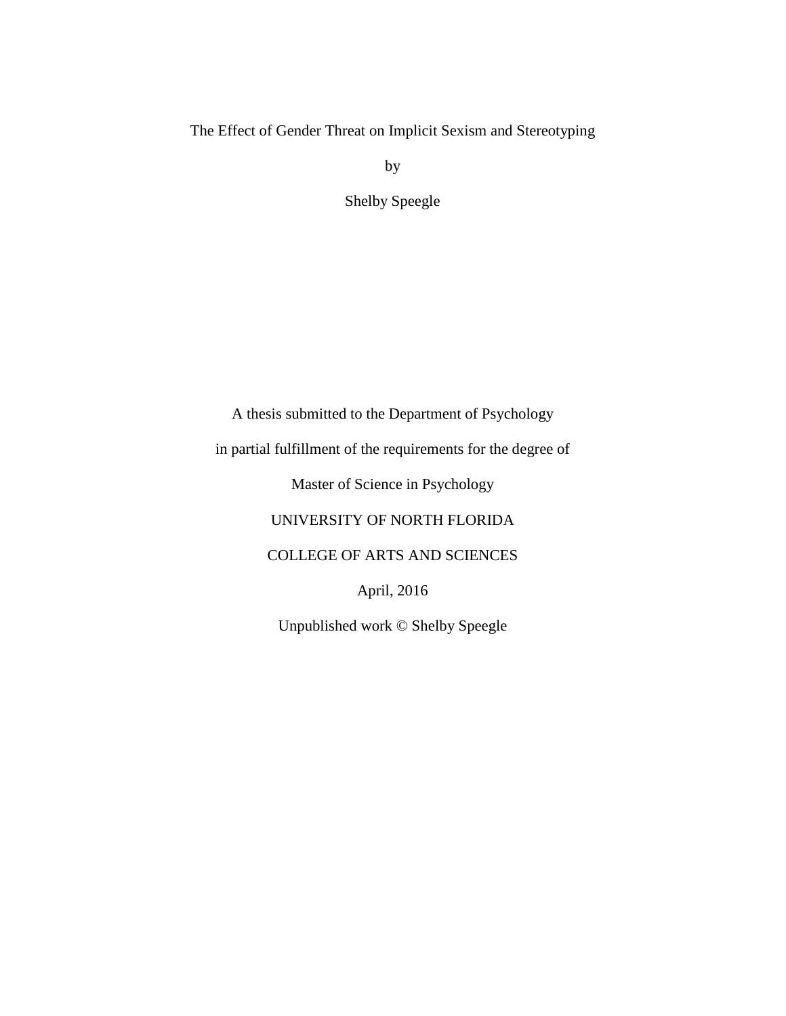The Effect of Gender Threat on Implicit Sexism and Stereotyping

by

Shelby Speegle

A thesis submitted to the Department of Psychology

in partial fulfillment of the requirements for the degree of

Master of Science in Psychology

UNIVERSITY OF NORTH FLORIDA

COLLEGE OF ARTS AND SCIENCES

April, 2016

Unpublished work © Shelby Speegle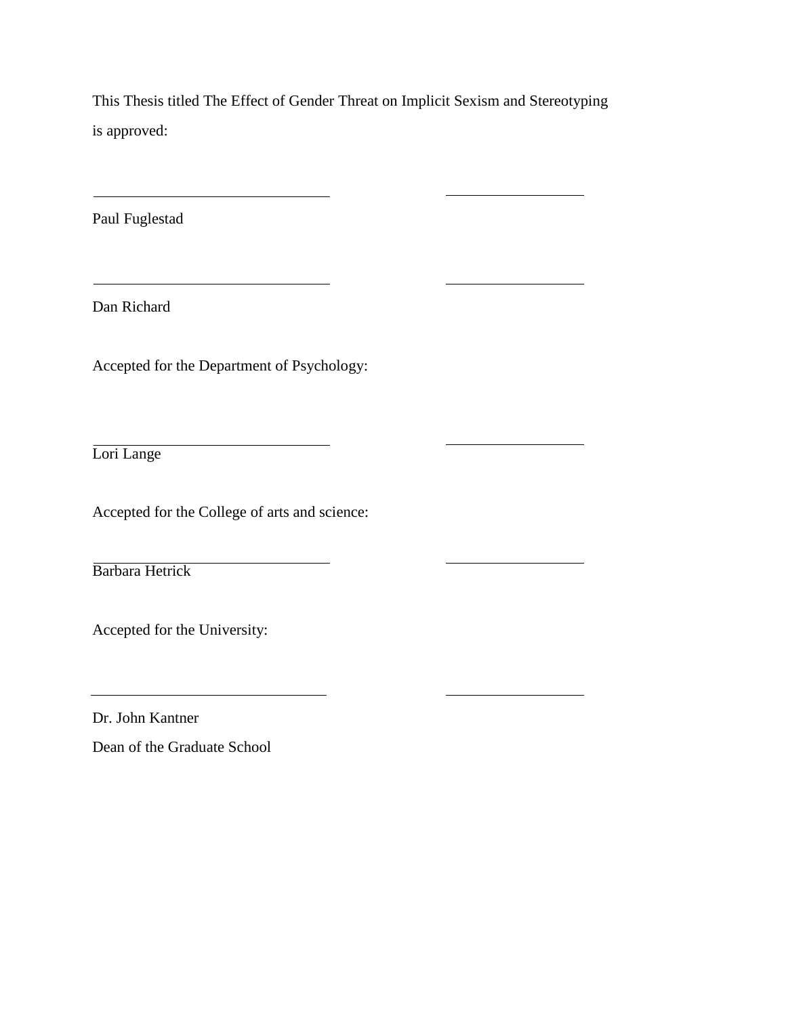This Thesis titled The Effect of Gender Threat on Implicit Sexism and Stereotyping is approved:

Paul Fuglestad

Dan Richard

Accepted for the Department of Psychology:

<u> 1990 - Johann Barbara, martxa a</u>

Lori Lange

Accepted for the College of arts and science:

Barbara Hetrick

Accepted for the University:

Dr. John Kantner

Dean of the Graduate School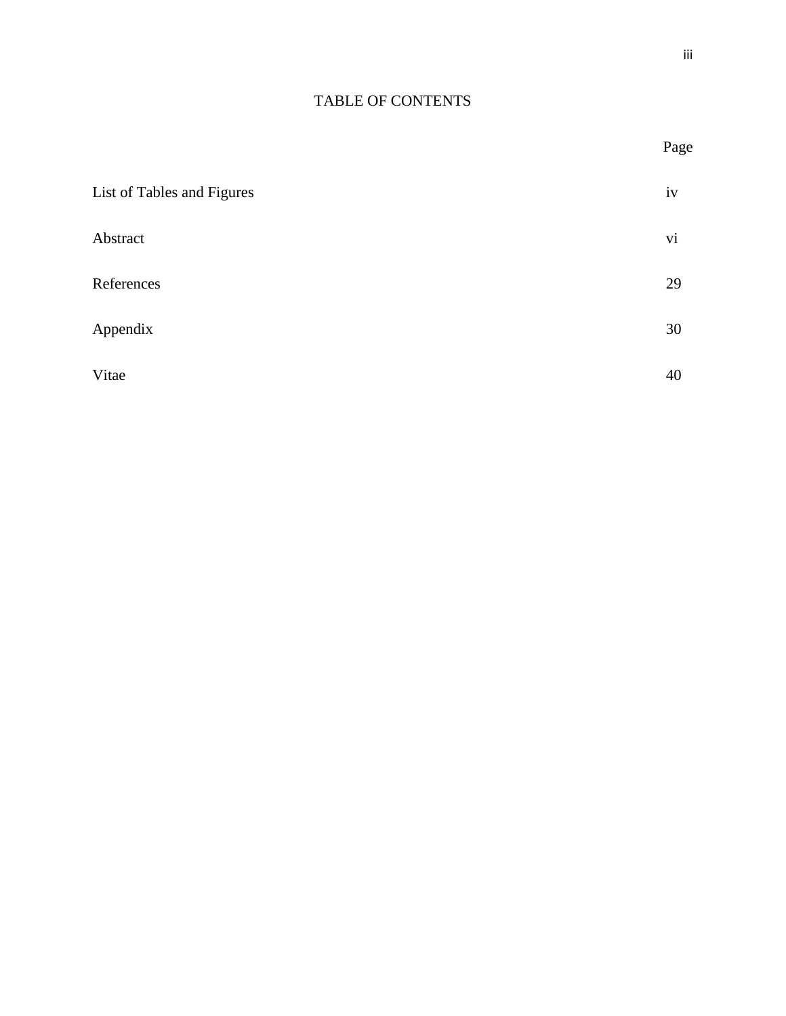Page

# TABLE OF CONTENTS

| List of Tables and Figures | iv |
|----------------------------|----|
| Abstract                   | vi |
| References                 | 29 |
| Appendix                   | 30 |
| Vitae                      | 40 |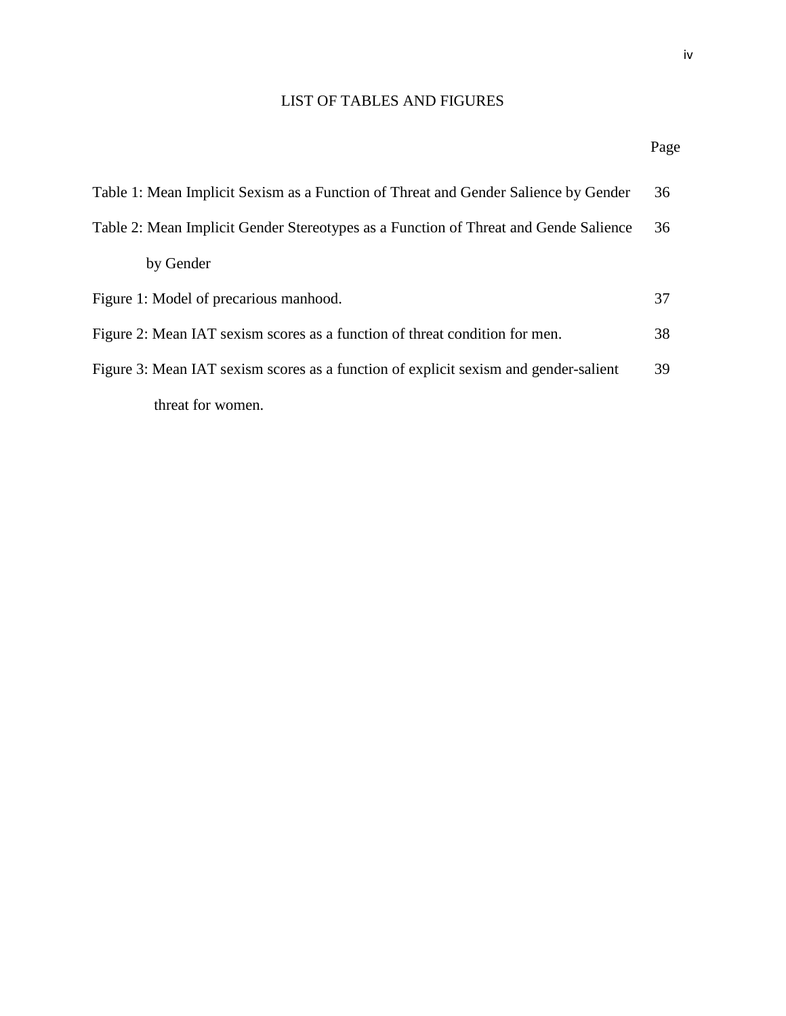# LIST OF TABLES AND FIGURES

# Page

| Table 1: Mean Implicit Sexism as a Function of Threat and Gender Salience by Gender  | 36 |
|--------------------------------------------------------------------------------------|----|
| Table 2: Mean Implicit Gender Stereotypes as a Function of Threat and Gende Salience | 36 |
| by Gender                                                                            |    |
| Figure 1: Model of precarious manhood.                                               | 37 |
| Figure 2: Mean IAT sexism scores as a function of threat condition for men.          | 38 |
| Figure 3: Mean IAT sexism scores as a function of explicit sexism and gender-salient | 39 |
| threat for women.                                                                    |    |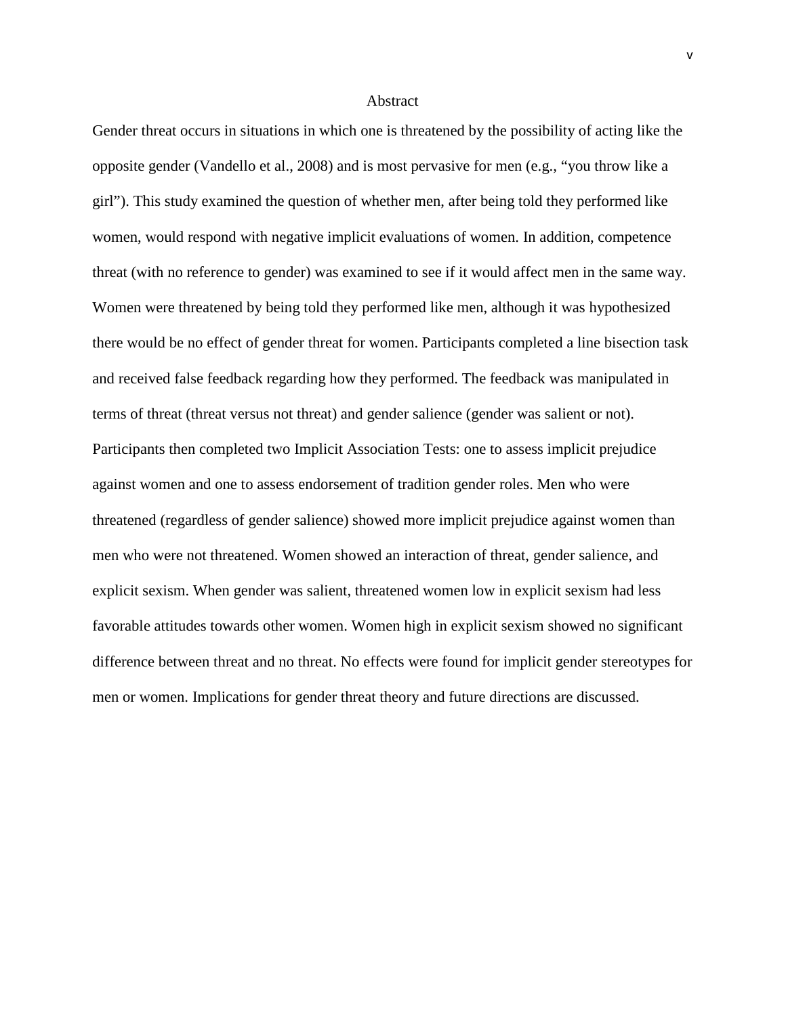#### Abstract

Gender threat occurs in situations in which one is threatened by the possibility of acting like the opposite gender (Vandello et al., 2008) and is most pervasive for men (e.g., "you throw like a girl"). This study examined the question of whether men, after being told they performed like women, would respond with negative implicit evaluations of women. In addition, competence threat (with no reference to gender) was examined to see if it would affect men in the same way. Women were threatened by being told they performed like men, although it was hypothesized there would be no effect of gender threat for women. Participants completed a line bisection task and received false feedback regarding how they performed. The feedback was manipulated in terms of threat (threat versus not threat) and gender salience (gender was salient or not). Participants then completed two Implicit Association Tests: one to assess implicit prejudice against women and one to assess endorsement of tradition gender roles. Men who were threatened (regardless of gender salience) showed more implicit prejudice against women than men who were not threatened. Women showed an interaction of threat, gender salience, and explicit sexism. When gender was salient, threatened women low in explicit sexism had less favorable attitudes towards other women. Women high in explicit sexism showed no significant difference between threat and no threat. No effects were found for implicit gender stereotypes for men or women. Implications for gender threat theory and future directions are discussed.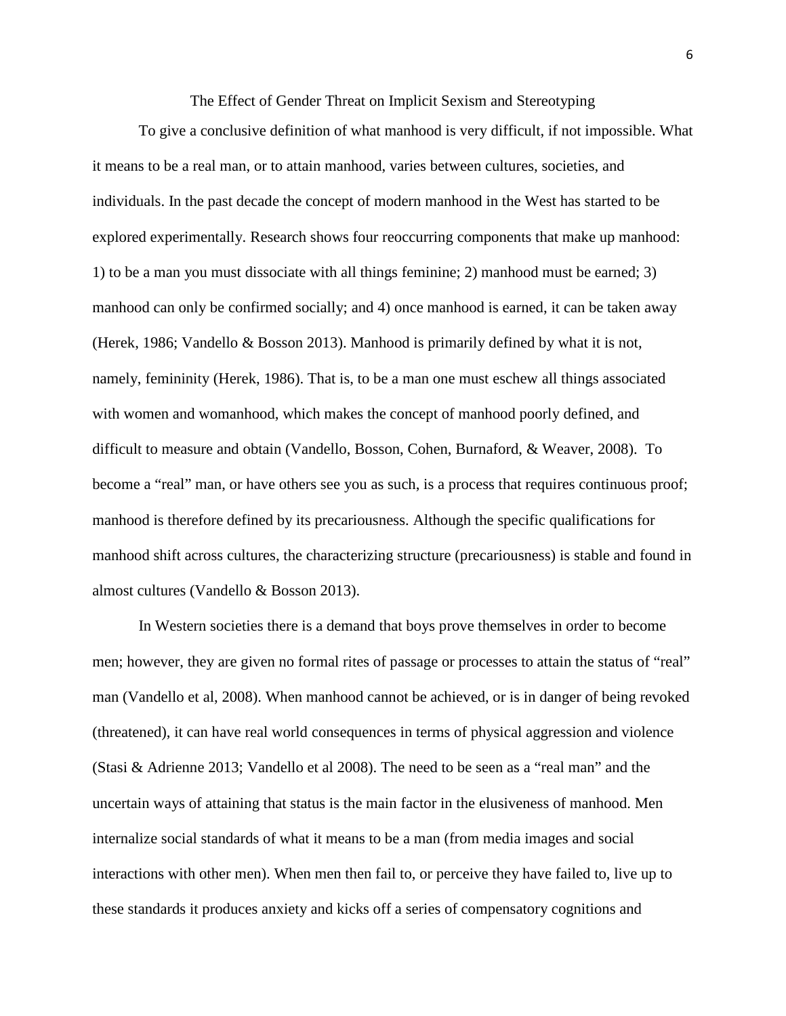The Effect of Gender Threat on Implicit Sexism and Stereotyping

To give a conclusive definition of what manhood is very difficult, if not impossible. What it means to be a real man, or to attain manhood, varies between cultures, societies, and individuals. In the past decade the concept of modern manhood in the West has started to be explored experimentally. Research shows four reoccurring components that make up manhood: 1) to be a man you must dissociate with all things feminine; 2) manhood must be earned; 3) manhood can only be confirmed socially; and 4) once manhood is earned, it can be taken away (Herek, 1986; Vandello & Bosson 2013). Manhood is primarily defined by what it is not, namely, femininity (Herek, 1986). That is, to be a man one must eschew all things associated with women and womanhood, which makes the concept of manhood poorly defined, and difficult to measure and obtain (Vandello, Bosson, Cohen, Burnaford, & Weaver, 2008). To become a "real" man, or have others see you as such, is a process that requires continuous proof; manhood is therefore defined by its precariousness. Although the specific qualifications for manhood shift across cultures, the characterizing structure (precariousness) is stable and found in almost cultures (Vandello & Bosson 2013).

In Western societies there is a demand that boys prove themselves in order to become men; however, they are given no formal rites of passage or processes to attain the status of "real" man (Vandello et al, 2008). When manhood cannot be achieved, or is in danger of being revoked (threatened), it can have real world consequences in terms of physical aggression and violence (Stasi & Adrienne 2013; Vandello et al 2008). The need to be seen as a "real man" and the uncertain ways of attaining that status is the main factor in the elusiveness of manhood. Men internalize social standards of what it means to be a man (from media images and social interactions with other men). When men then fail to, or perceive they have failed to, live up to these standards it produces anxiety and kicks off a series of compensatory cognitions and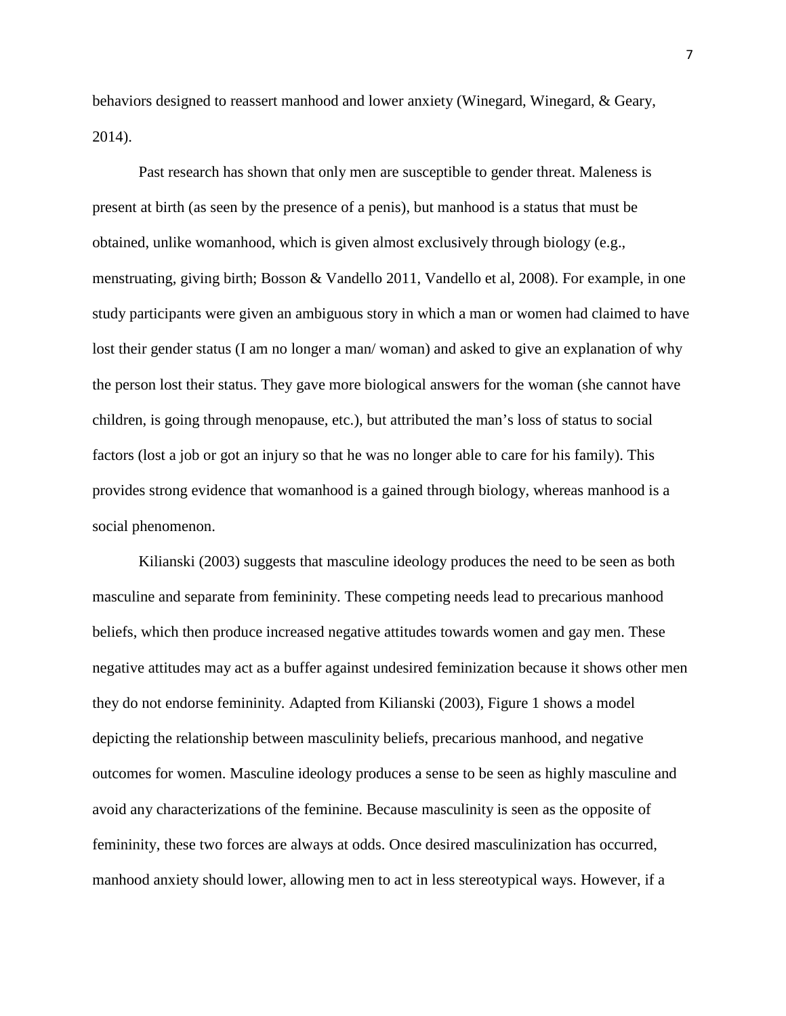behaviors designed to reassert manhood and lower anxiety (Winegard, Winegard, & Geary, 2014).

Past research has shown that only men are susceptible to gender threat. Maleness is present at birth (as seen by the presence of a penis), but manhood is a status that must be obtained, unlike womanhood, which is given almost exclusively through biology (e.g., menstruating, giving birth; Bosson & Vandello 2011, Vandello et al, 2008). For example, in one study participants were given an ambiguous story in which a man or women had claimed to have lost their gender status (I am no longer a man/ woman) and asked to give an explanation of why the person lost their status. They gave more biological answers for the woman (she cannot have children, is going through menopause, etc.), but attributed the man's loss of status to social factors (lost a job or got an injury so that he was no longer able to care for his family). This provides strong evidence that womanhood is a gained through biology, whereas manhood is a social phenomenon.

Kilianski (2003) suggests that masculine ideology produces the need to be seen as both masculine and separate from femininity. These competing needs lead to precarious manhood beliefs, which then produce increased negative attitudes towards women and gay men. These negative attitudes may act as a buffer against undesired feminization because it shows other men they do not endorse femininity. Adapted from Kilianski (2003), Figure 1 shows a model depicting the relationship between masculinity beliefs, precarious manhood, and negative outcomes for women. Masculine ideology produces a sense to be seen as highly masculine and avoid any characterizations of the feminine. Because masculinity is seen as the opposite of femininity, these two forces are always at odds. Once desired masculinization has occurred, manhood anxiety should lower, allowing men to act in less stereotypical ways. However, if a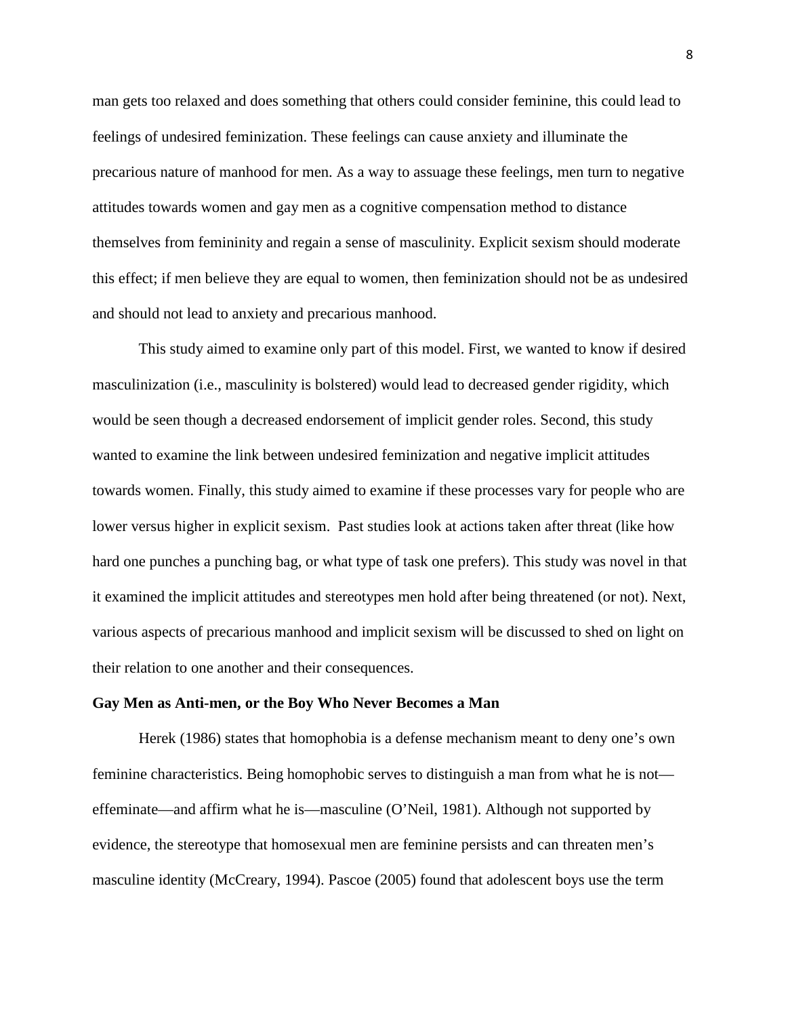man gets too relaxed and does something that others could consider feminine, this could lead to feelings of undesired feminization. These feelings can cause anxiety and illuminate the precarious nature of manhood for men. As a way to assuage these feelings, men turn to negative attitudes towards women and gay men as a cognitive compensation method to distance themselves from femininity and regain a sense of masculinity. Explicit sexism should moderate this effect; if men believe they are equal to women, then feminization should not be as undesired and should not lead to anxiety and precarious manhood.

This study aimed to examine only part of this model. First, we wanted to know if desired masculinization (i.e., masculinity is bolstered) would lead to decreased gender rigidity, which would be seen though a decreased endorsement of implicit gender roles. Second, this study wanted to examine the link between undesired feminization and negative implicit attitudes towards women. Finally, this study aimed to examine if these processes vary for people who are lower versus higher in explicit sexism. Past studies look at actions taken after threat (like how hard one punches a punching bag, or what type of task one prefers). This study was novel in that it examined the implicit attitudes and stereotypes men hold after being threatened (or not). Next, various aspects of precarious manhood and implicit sexism will be discussed to shed on light on their relation to one another and their consequences.

#### **Gay Men as Anti-men, or the Boy Who Never Becomes a Man**

Herek (1986) states that homophobia is a defense mechanism meant to deny one's own feminine characteristics. Being homophobic serves to distinguish a man from what he is not effeminate—and affirm what he is—masculine (O'Neil, 1981). Although not supported by evidence, the stereotype that homosexual men are feminine persists and can threaten men's masculine identity (McCreary, 1994). Pascoe (2005) found that adolescent boys use the term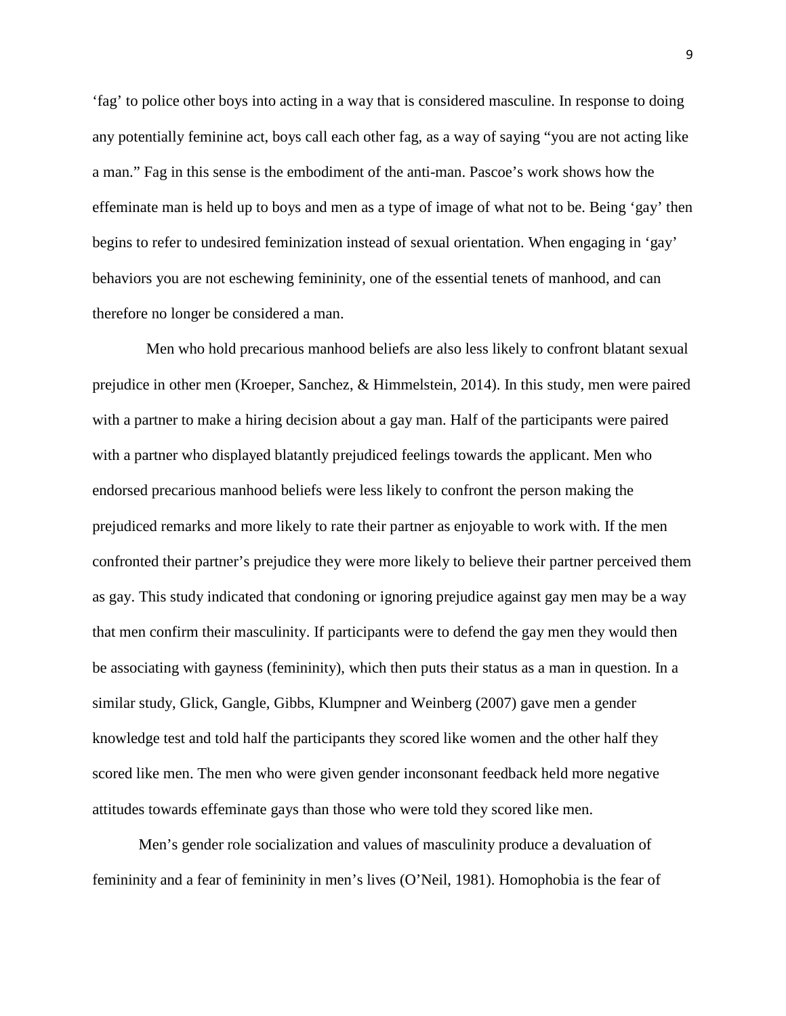'fag' to police other boys into acting in a way that is considered masculine. In response to doing any potentially feminine act, boys call each other fag, as a way of saying "you are not acting like a man." Fag in this sense is the embodiment of the anti-man. Pascoe's work shows how the effeminate man is held up to boys and men as a type of image of what not to be. Being 'gay' then begins to refer to undesired feminization instead of sexual orientation. When engaging in 'gay' behaviors you are not eschewing femininity, one of the essential tenets of manhood, and can therefore no longer be considered a man.

 Men who hold precarious manhood beliefs are also less likely to confront blatant sexual prejudice in other men (Kroeper, Sanchez, & Himmelstein, 2014). In this study, men were paired with a partner to make a hiring decision about a gay man. Half of the participants were paired with a partner who displayed blatantly prejudiced feelings towards the applicant. Men who endorsed precarious manhood beliefs were less likely to confront the person making the prejudiced remarks and more likely to rate their partner as enjoyable to work with. If the men confronted their partner's prejudice they were more likely to believe their partner perceived them as gay. This study indicated that condoning or ignoring prejudice against gay men may be a way that men confirm their masculinity. If participants were to defend the gay men they would then be associating with gayness (femininity), which then puts their status as a man in question. In a similar study, Glick, Gangle, Gibbs, Klumpner and Weinberg (2007) gave men a gender knowledge test and told half the participants they scored like women and the other half they scored like men. The men who were given gender inconsonant feedback held more negative attitudes towards effeminate gays than those who were told they scored like men.

Men's gender role socialization and values of masculinity produce a devaluation of femininity and a fear of femininity in men's lives (O'Neil, 1981). Homophobia is the fear of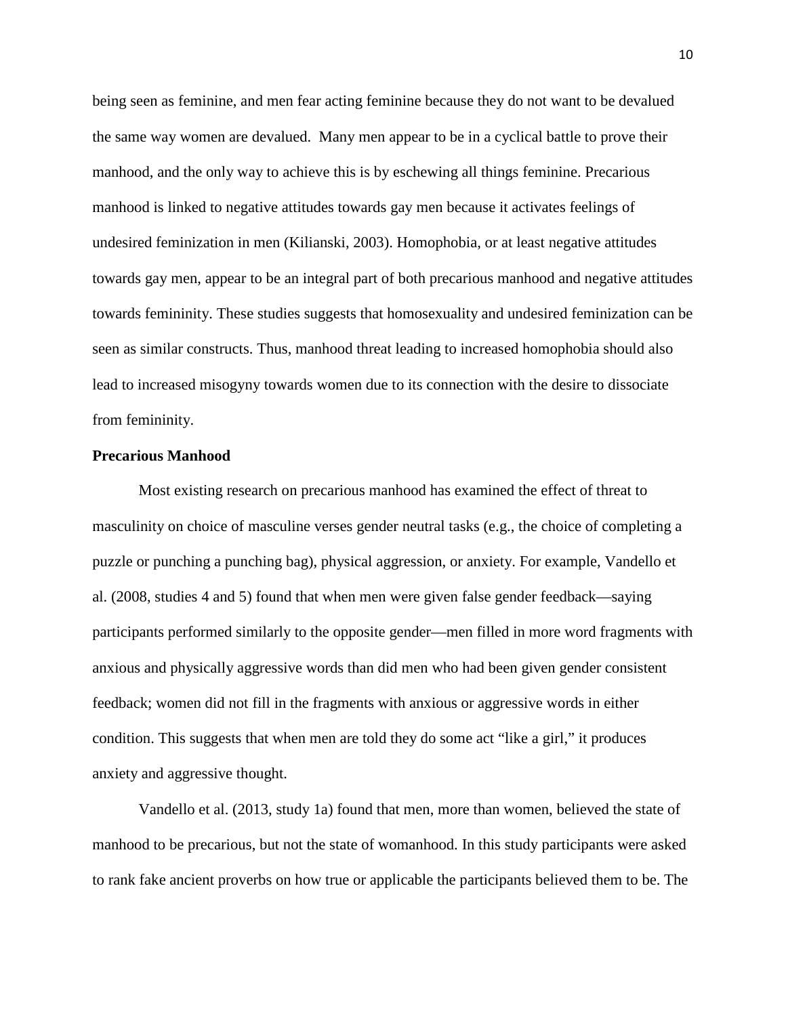being seen as feminine, and men fear acting feminine because they do not want to be devalued the same way women are devalued. Many men appear to be in a cyclical battle to prove their manhood, and the only way to achieve this is by eschewing all things feminine. Precarious manhood is linked to negative attitudes towards gay men because it activates feelings of undesired feminization in men (Kilianski, 2003). Homophobia, or at least negative attitudes towards gay men, appear to be an integral part of both precarious manhood and negative attitudes towards femininity. These studies suggests that homosexuality and undesired feminization can be seen as similar constructs. Thus, manhood threat leading to increased homophobia should also lead to increased misogyny towards women due to its connection with the desire to dissociate from femininity.

#### **Precarious Manhood**

Most existing research on precarious manhood has examined the effect of threat to masculinity on choice of masculine verses gender neutral tasks (e.g., the choice of completing a puzzle or punching a punching bag), physical aggression, or anxiety. For example, Vandello et al. (2008, studies 4 and 5) found that when men were given false gender feedback—saying participants performed similarly to the opposite gender—men filled in more word fragments with anxious and physically aggressive words than did men who had been given gender consistent feedback; women did not fill in the fragments with anxious or aggressive words in either condition. This suggests that when men are told they do some act "like a girl," it produces anxiety and aggressive thought.

Vandello et al. (2013, study 1a) found that men, more than women, believed the state of manhood to be precarious, but not the state of womanhood. In this study participants were asked to rank fake ancient proverbs on how true or applicable the participants believed them to be. The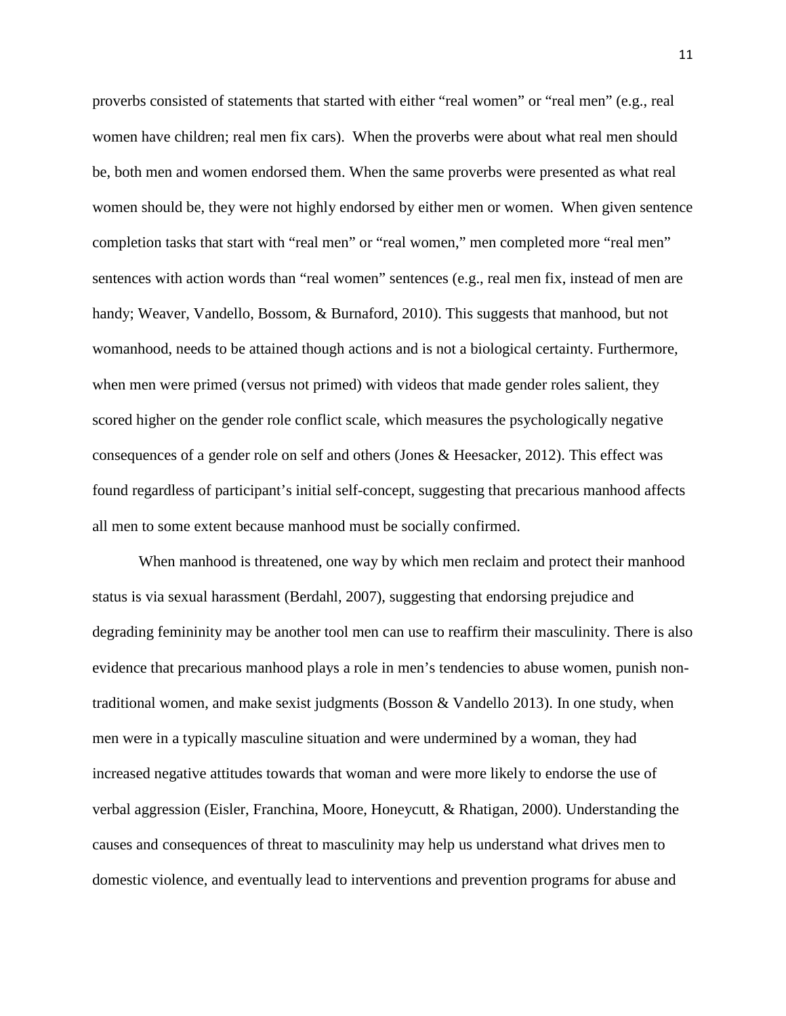proverbs consisted of statements that started with either "real women" or "real men" (e.g., real women have children; real men fix cars). When the proverbs were about what real men should be, both men and women endorsed them. When the same proverbs were presented as what real women should be, they were not highly endorsed by either men or women. When given sentence completion tasks that start with "real men" or "real women," men completed more "real men" sentences with action words than "real women" sentences (e.g., real men fix, instead of men are handy; Weaver, Vandello, Bossom, & Burnaford, 2010). This suggests that manhood, but not womanhood, needs to be attained though actions and is not a biological certainty. Furthermore, when men were primed (versus not primed) with videos that made gender roles salient, they scored higher on the gender role conflict scale, which measures the psychologically negative consequences of a gender role on self and others (Jones & Heesacker, 2012). This effect was found regardless of participant's initial self-concept, suggesting that precarious manhood affects all men to some extent because manhood must be socially confirmed.

When manhood is threatened, one way by which men reclaim and protect their manhood status is via sexual harassment (Berdahl, 2007), suggesting that endorsing prejudice and degrading femininity may be another tool men can use to reaffirm their masculinity. There is also evidence that precarious manhood plays a role in men's tendencies to abuse women, punish nontraditional women, and make sexist judgments (Bosson & Vandello 2013). In one study, when men were in a typically masculine situation and were undermined by a woman, they had increased negative attitudes towards that woman and were more likely to endorse the use of verbal aggression (Eisler, Franchina, Moore, Honeycutt, & Rhatigan, 2000). Understanding the causes and consequences of threat to masculinity may help us understand what drives men to domestic violence, and eventually lead to interventions and prevention programs for abuse and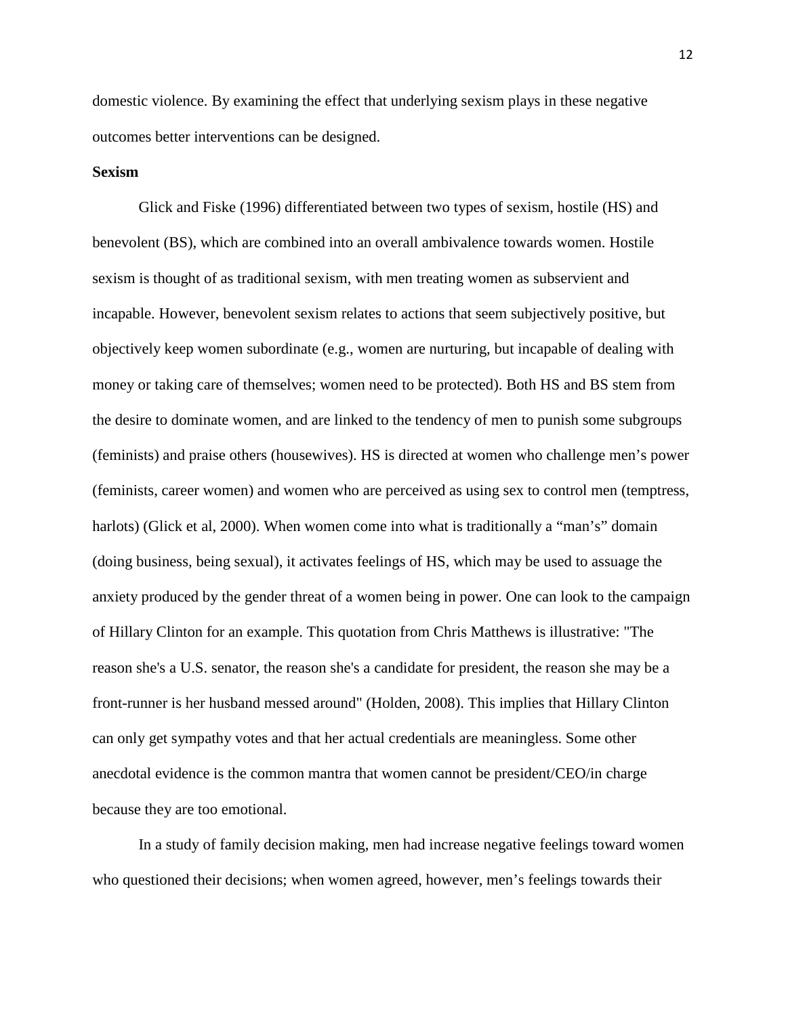domestic violence. By examining the effect that underlying sexism plays in these negative outcomes better interventions can be designed.

### **Sexism**

Glick and Fiske (1996) differentiated between two types of sexism, hostile (HS) and benevolent (BS), which are combined into an overall ambivalence towards women. Hostile sexism is thought of as traditional sexism, with men treating women as subservient and incapable. However, benevolent sexism relates to actions that seem subjectively positive, but objectively keep women subordinate (e.g., women are nurturing, but incapable of dealing with money or taking care of themselves; women need to be protected). Both HS and BS stem from the desire to dominate women, and are linked to the tendency of men to punish some subgroups (feminists) and praise others (housewives). HS is directed at women who challenge men's power (feminists, career women) and women who are perceived as using sex to control men (temptress, harlots) (Glick et al, 2000). When women come into what is traditionally a "man's" domain (doing business, being sexual), it activates feelings of HS, which may be used to assuage the anxiety produced by the gender threat of a women being in power. One can look to the campaign of Hillary Clinton for an example. This quotation from Chris Matthews is illustrative: "The reason she's a U.S. senator, the reason she's a candidate for president, the reason she may be a front-runner is her husband messed around" (Holden, 2008). This implies that Hillary Clinton can only get sympathy votes and that her actual credentials are meaningless. Some other anecdotal evidence is the common mantra that women cannot be president/CEO/in charge because they are too emotional.

In a study of family decision making, men had increase negative feelings toward women who questioned their decisions; when women agreed, however, men's feelings towards their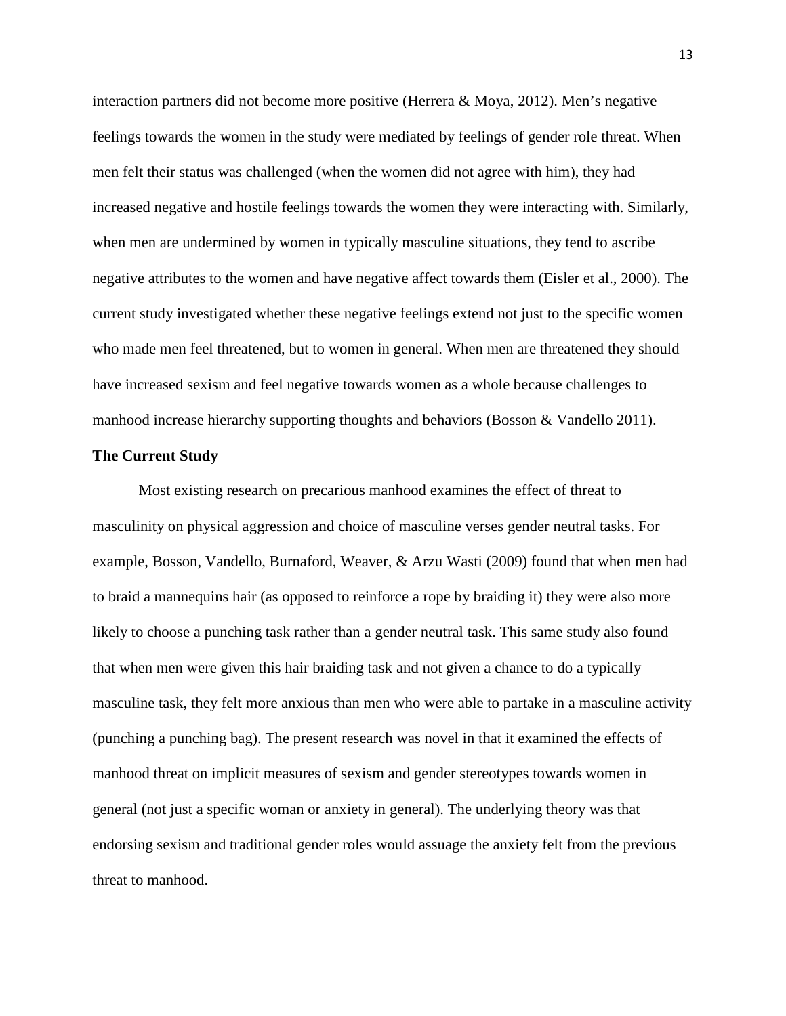interaction partners did not become more positive (Herrera & Moya, 2012). Men's negative feelings towards the women in the study were mediated by feelings of gender role threat. When men felt their status was challenged (when the women did not agree with him), they had increased negative and hostile feelings towards the women they were interacting with. Similarly, when men are undermined by women in typically masculine situations, they tend to ascribe negative attributes to the women and have negative affect towards them (Eisler et al., 2000). The current study investigated whether these negative feelings extend not just to the specific women who made men feel threatened, but to women in general. When men are threatened they should have increased sexism and feel negative towards women as a whole because challenges to manhood increase hierarchy supporting thoughts and behaviors (Bosson & Vandello 2011).

## **The Current Study**

Most existing research on precarious manhood examines the effect of threat to masculinity on physical aggression and choice of masculine verses gender neutral tasks. For example, Bosson, Vandello, Burnaford, Weaver, & Arzu Wasti (2009) found that when men had to braid a mannequins hair (as opposed to reinforce a rope by braiding it) they were also more likely to choose a punching task rather than a gender neutral task. This same study also found that when men were given this hair braiding task and not given a chance to do a typically masculine task, they felt more anxious than men who were able to partake in a masculine activity (punching a punching bag). The present research was novel in that it examined the effects of manhood threat on implicit measures of sexism and gender stereotypes towards women in general (not just a specific woman or anxiety in general). The underlying theory was that endorsing sexism and traditional gender roles would assuage the anxiety felt from the previous threat to manhood.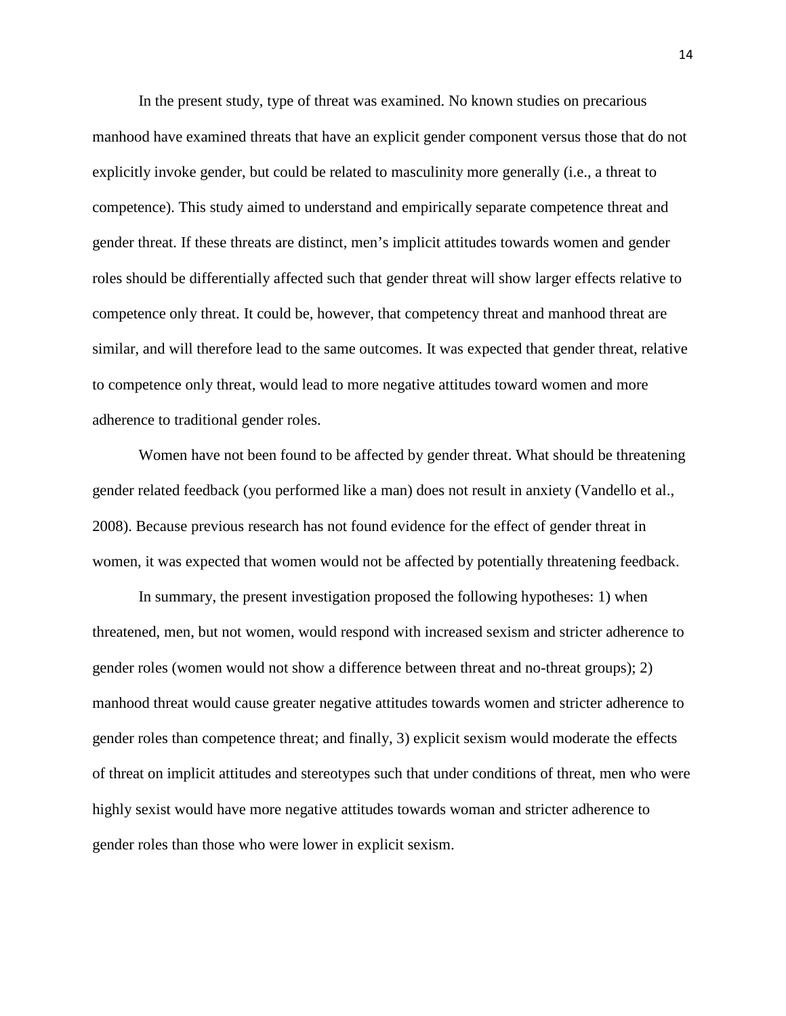In the present study, type of threat was examined. No known studies on precarious manhood have examined threats that have an explicit gender component versus those that do not explicitly invoke gender, but could be related to masculinity more generally (i.e., a threat to competence). This study aimed to understand and empirically separate competence threat and gender threat. If these threats are distinct, men's implicit attitudes towards women and gender roles should be differentially affected such that gender threat will show larger effects relative to competence only threat. It could be, however, that competency threat and manhood threat are similar, and will therefore lead to the same outcomes. It was expected that gender threat, relative to competence only threat, would lead to more negative attitudes toward women and more adherence to traditional gender roles.

Women have not been found to be affected by gender threat. What should be threatening gender related feedback (you performed like a man) does not result in anxiety (Vandello et al., 2008). Because previous research has not found evidence for the effect of gender threat in women, it was expected that women would not be affected by potentially threatening feedback.

In summary, the present investigation proposed the following hypotheses: 1) when threatened, men, but not women, would respond with increased sexism and stricter adherence to gender roles (women would not show a difference between threat and no-threat groups); 2) manhood threat would cause greater negative attitudes towards women and stricter adherence to gender roles than competence threat; and finally, 3) explicit sexism would moderate the effects of threat on implicit attitudes and stereotypes such that under conditions of threat, men who were highly sexist would have more negative attitudes towards woman and stricter adherence to gender roles than those who were lower in explicit sexism.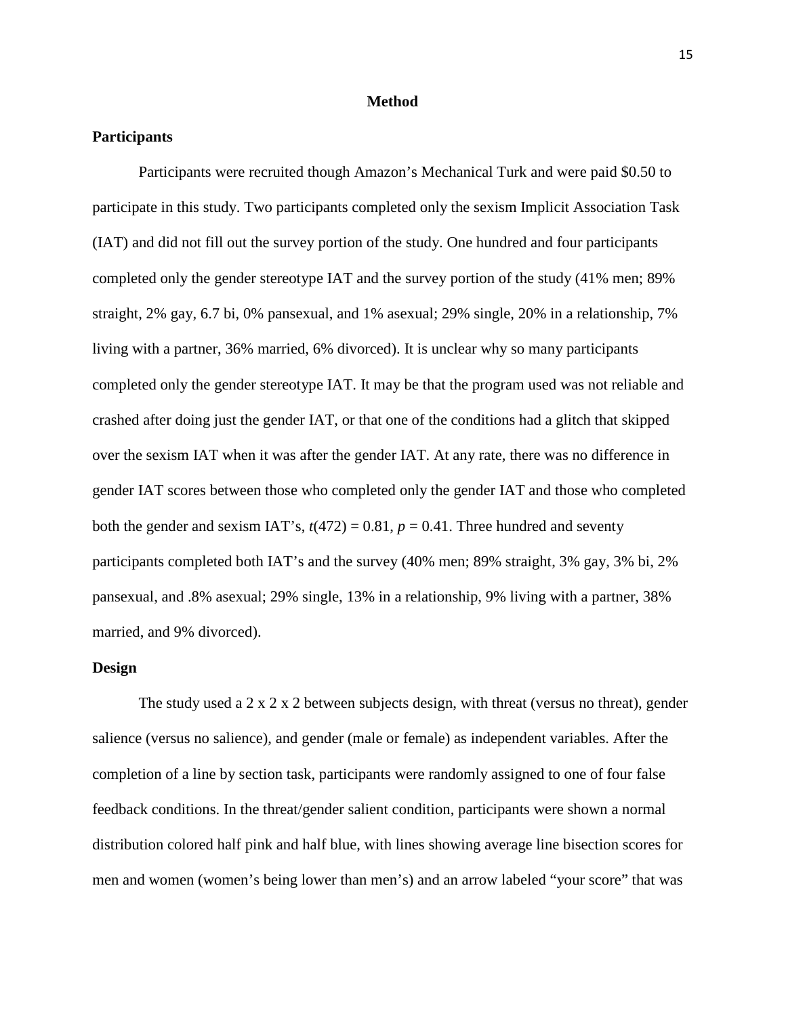#### **Method**

## **Participants**

Participants were recruited though Amazon's Mechanical Turk and were paid \$0.50 to participate in this study. Two participants completed only the sexism Implicit Association Task (IAT) and did not fill out the survey portion of the study. One hundred and four participants completed only the gender stereotype IAT and the survey portion of the study (41% men; 89% straight, 2% gay, 6.7 bi, 0% pansexual, and 1% asexual; 29% single, 20% in a relationship, 7% living with a partner, 36% married, 6% divorced). It is unclear why so many participants completed only the gender stereotype IAT. It may be that the program used was not reliable and crashed after doing just the gender IAT, or that one of the conditions had a glitch that skipped over the sexism IAT when it was after the gender IAT. At any rate, there was no difference in gender IAT scores between those who completed only the gender IAT and those who completed both the gender and sexism IAT's,  $t(472) = 0.81$ ,  $p = 0.41$ . Three hundred and seventy participants completed both IAT's and the survey (40% men; 89% straight, 3% gay, 3% bi, 2% pansexual, and .8% asexual; 29% single, 13% in a relationship, 9% living with a partner, 38% married, and 9% divorced).

## **Design**

The study used a 2 x 2 x 2 between subjects design, with threat (versus no threat), gender salience (versus no salience), and gender (male or female) as independent variables. After the completion of a line by section task, participants were randomly assigned to one of four false feedback conditions. In the threat/gender salient condition, participants were shown a normal distribution colored half pink and half blue, with lines showing average line bisection scores for men and women (women's being lower than men's) and an arrow labeled "your score" that was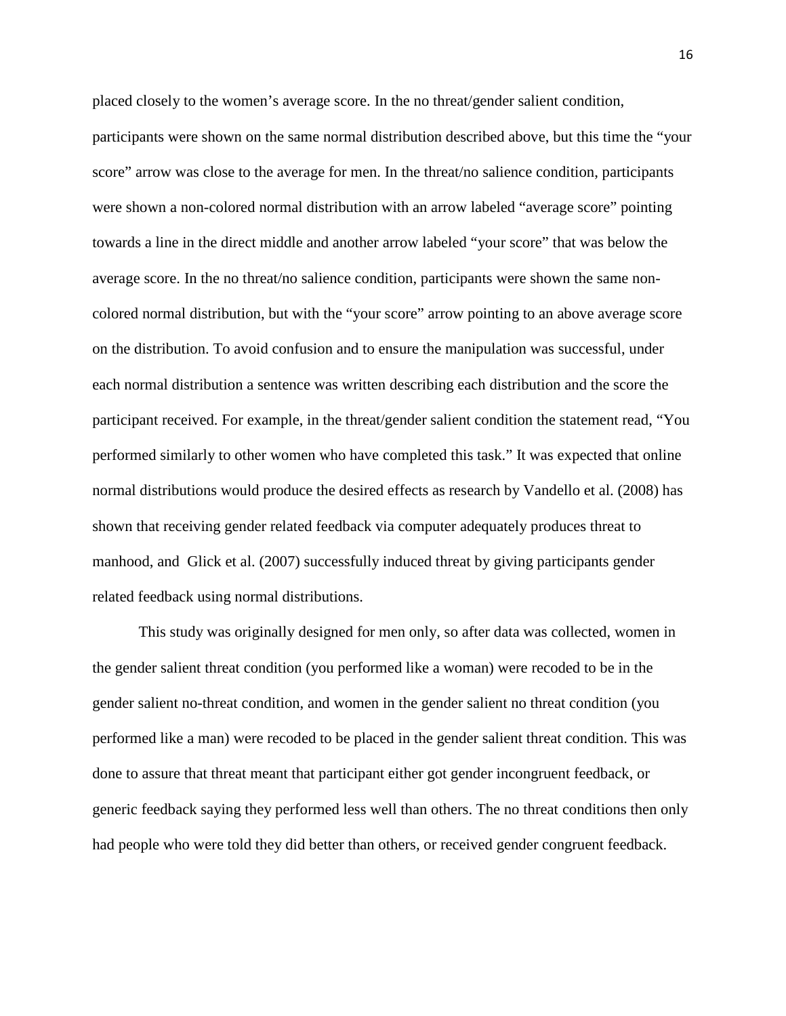placed closely to the women's average score. In the no threat/gender salient condition,

participants were shown on the same normal distribution described above, but this time the "your score" arrow was close to the average for men. In the threat/no salience condition, participants were shown a non-colored normal distribution with an arrow labeled "average score" pointing towards a line in the direct middle and another arrow labeled "your score" that was below the average score. In the no threat/no salience condition, participants were shown the same noncolored normal distribution, but with the "your score" arrow pointing to an above average score on the distribution. To avoid confusion and to ensure the manipulation was successful, under each normal distribution a sentence was written describing each distribution and the score the participant received. For example, in the threat/gender salient condition the statement read, "You performed similarly to other women who have completed this task." It was expected that online normal distributions would produce the desired effects as research by Vandello et al. (2008) has shown that receiving gender related feedback via computer adequately produces threat to manhood, and Glick et al. (2007) successfully induced threat by giving participants gender related feedback using normal distributions.

This study was originally designed for men only, so after data was collected, women in the gender salient threat condition (you performed like a woman) were recoded to be in the gender salient no-threat condition, and women in the gender salient no threat condition (you performed like a man) were recoded to be placed in the gender salient threat condition. This was done to assure that threat meant that participant either got gender incongruent feedback, or generic feedback saying they performed less well than others. The no threat conditions then only had people who were told they did better than others, or received gender congruent feedback.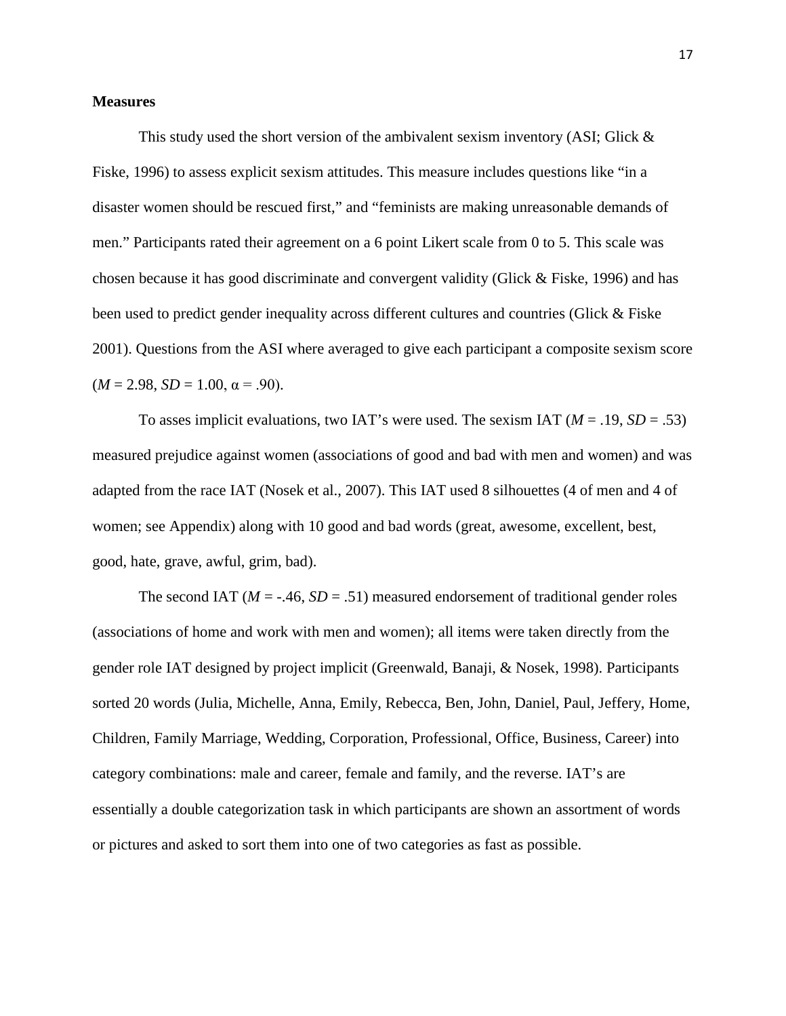## **Measures**

This study used the short version of the ambivalent sexism inventory (ASI; Glick & Fiske, 1996) to assess explicit sexism attitudes. This measure includes questions like "in a disaster women should be rescued first," and "feminists are making unreasonable demands of men." Participants rated their agreement on a 6 point Likert scale from 0 to 5. This scale was chosen because it has good discriminate and convergent validity (Glick & Fiske, 1996) and has been used to predict gender inequality across different cultures and countries (Glick & Fiske 2001). Questions from the ASI where averaged to give each participant a composite sexism score  $(M = 2.98, SD = 1.00, \alpha = .90).$ 

To asses implicit evaluations, two IAT's were used. The sexism IAT  $(M = .19, SD = .53)$ measured prejudice against women (associations of good and bad with men and women) and was adapted from the race IAT (Nosek et al., 2007). This IAT used 8 silhouettes (4 of men and 4 of women; see Appendix) along with 10 good and bad words (great, awesome, excellent, best, good, hate, grave, awful, grim, bad).

The second IAT  $(M = -0.46, SD = 0.51)$  measured endorsement of traditional gender roles (associations of home and work with men and women); all items were taken directly from the gender role IAT designed by project implicit (Greenwald, Banaji, & Nosek, 1998). Participants sorted 20 words (Julia, Michelle, Anna, Emily, Rebecca, Ben, John, Daniel, Paul, Jeffery, Home, Children, Family Marriage, Wedding, Corporation, Professional, Office, Business, Career) into category combinations: male and career, female and family, and the reverse. IAT's are essentially a double categorization task in which participants are shown an assortment of words or pictures and asked to sort them into one of two categories as fast as possible.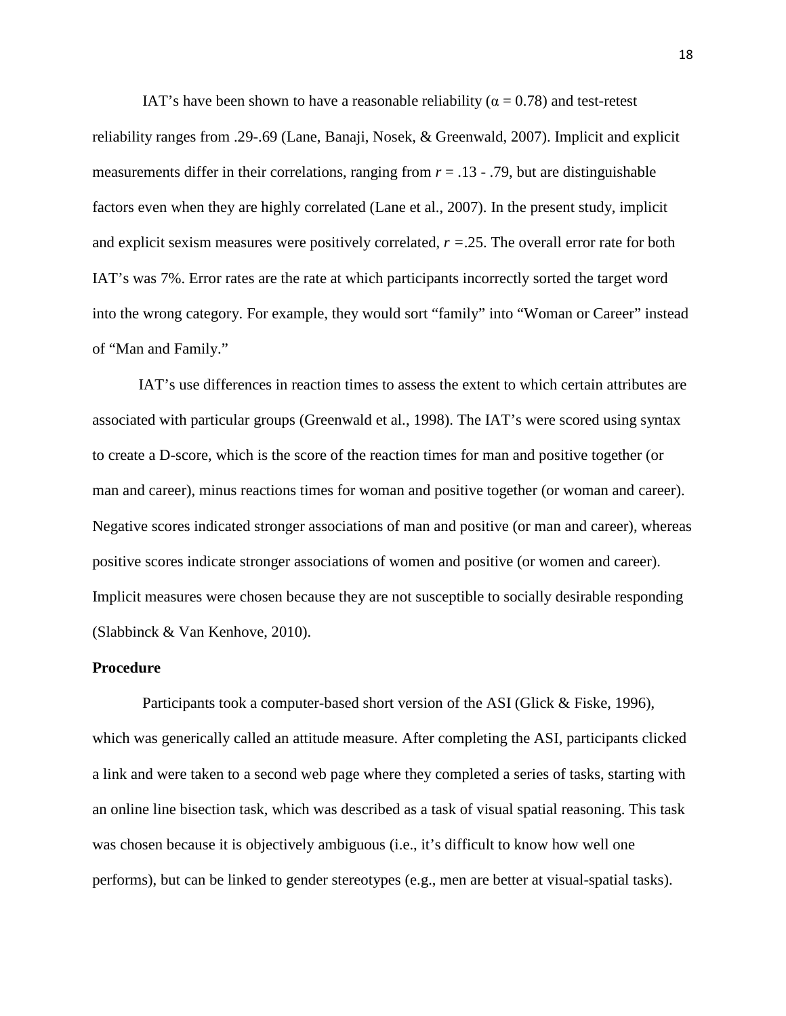IAT's have been shown to have a reasonable reliability ( $\alpha = 0.78$ ) and test-retest reliability ranges from .29-.69 (Lane, Banaji, Nosek, & Greenwald, 2007). Implicit and explicit measurements differ in their correlations, ranging from  $r = .13 - .79$ , but are distinguishable factors even when they are highly correlated (Lane et al., 2007). In the present study, implicit and explicit sexism measures were positively correlated, *r =*.25. The overall error rate for both IAT's was 7%. Error rates are the rate at which participants incorrectly sorted the target word into the wrong category. For example, they would sort "family" into "Woman or Career" instead of "Man and Family."

IAT's use differences in reaction times to assess the extent to which certain attributes are associated with particular groups (Greenwald et al., 1998). The IAT's were scored using syntax to create a D-score, which is the score of the reaction times for man and positive together (or man and career), minus reactions times for woman and positive together (or woman and career). Negative scores indicated stronger associations of man and positive (or man and career), whereas positive scores indicate stronger associations of women and positive (or women and career). Implicit measures were chosen because they are not susceptible to socially desirable responding (Slabbinck & Van Kenhove, 2010).

#### **Procedure**

Participants took a computer-based short version of the ASI (Glick & Fiske, 1996), which was generically called an attitude measure. After completing the ASI, participants clicked a link and were taken to a second web page where they completed a series of tasks, starting with an online line bisection task, which was described as a task of visual spatial reasoning. This task was chosen because it is objectively ambiguous (i.e., it's difficult to know how well one performs), but can be linked to gender stereotypes (e.g., men are better at visual-spatial tasks).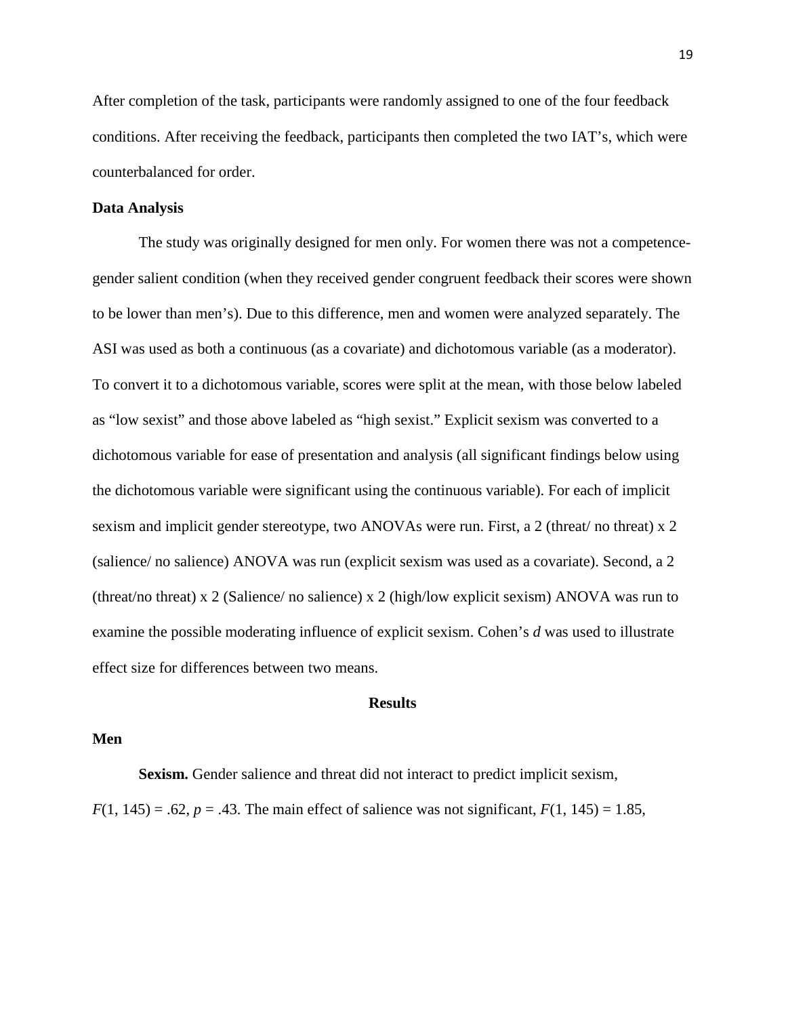After completion of the task, participants were randomly assigned to one of the four feedback conditions. After receiving the feedback, participants then completed the two IAT's, which were counterbalanced for order.

### **Data Analysis**

The study was originally designed for men only. For women there was not a competencegender salient condition (when they received gender congruent feedback their scores were shown to be lower than men's). Due to this difference, men and women were analyzed separately. The ASI was used as both a continuous (as a covariate) and dichotomous variable (as a moderator). To convert it to a dichotomous variable, scores were split at the mean, with those below labeled as "low sexist" and those above labeled as "high sexist." Explicit sexism was converted to a dichotomous variable for ease of presentation and analysis (all significant findings below using the dichotomous variable were significant using the continuous variable). For each of implicit sexism and implicit gender stereotype, two ANOVAs were run. First, a 2 (threat/ no threat) x 2 (salience/ no salience) ANOVA was run (explicit sexism was used as a covariate). Second, a 2 (threat/no threat) x 2 (Salience/ no salience) x 2 (high/low explicit sexism) ANOVA was run to examine the possible moderating influence of explicit sexism. Cohen's *d* was used to illustrate effect size for differences between two means.

### **Results**

#### **Men**

**Sexism.** Gender salience and threat did not interact to predict implicit sexism, *F*(1, 145) = .62, *p* = .43. The main effect of salience was not significant,  $F(1, 145) = 1.85$ ,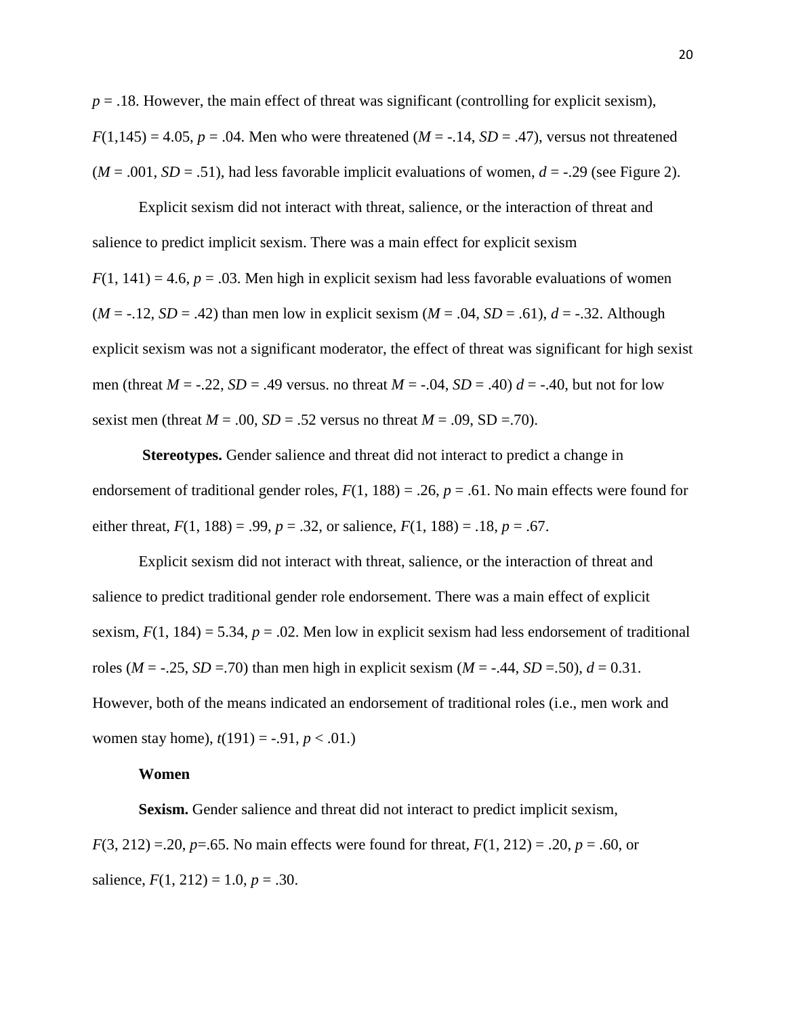$p = 0.18$ . However, the main effect of threat was significant (controlling for explicit sexism),  $F(1,145) = 4.05$ ,  $p = .04$ . Men who were threatened (*M* = -.14, *SD* = .47), versus not threatened  $(M = .001, SD = .51)$ , had less favorable implicit evaluations of women,  $d = -0.29$  (see Figure 2).

Explicit sexism did not interact with threat, salience, or the interaction of threat and salience to predict implicit sexism. There was a main effect for explicit sexism  $F(1, 141) = 4.6$ ,  $p = .03$ . Men high in explicit sexism had less favorable evaluations of women  $(M = -.12, SD = .42)$  than men low in explicit sexism  $(M = .04, SD = .61)$ ,  $d = -.32$ . Although explicit sexism was not a significant moderator, the effect of threat was significant for high sexist men (threat  $M = -0.22$ ,  $SD = 0.49$  versus. no threat  $M = -0.04$ ,  $SD = 0.40$ )  $d = -0.40$ , but not for low sexist men (threat  $M = .00$ ,  $SD = .52$  versus no threat  $M = .09$ ,  $SD = .70$ ).

**Stereotypes.** Gender salience and threat did not interact to predict a change in endorsement of traditional gender roles,  $F(1, 188) = .26$ ,  $p = .61$ . No main effects were found for either threat,  $F(1, 188) = .99$ ,  $p = .32$ , or salience,  $F(1, 188) = .18$ ,  $p = .67$ .

Explicit sexism did not interact with threat, salience, or the interaction of threat and salience to predict traditional gender role endorsement. There was a main effect of explicit sexism,  $F(1, 184) = 5.34$ ,  $p = .02$ . Men low in explicit sexism had less endorsement of traditional roles ( $M = -0.25$ ,  $SD = 0.70$ ) than men high in explicit sexism ( $M = -0.44$ ,  $SD = 0.50$ ),  $d = 0.31$ . However, both of the means indicated an endorsement of traditional roles (i.e., men work and women stay home),  $t(191) = -.91, p < .01$ .

#### **Women**

**Sexism.** Gender salience and threat did not interact to predict implicit sexism, *F*(3, 212) =.20, *p*=.65. No main effects were found for threat, *F*(1, 212) = .20, *p* = .60, or salience,  $F(1, 212) = 1.0, p = .30$ .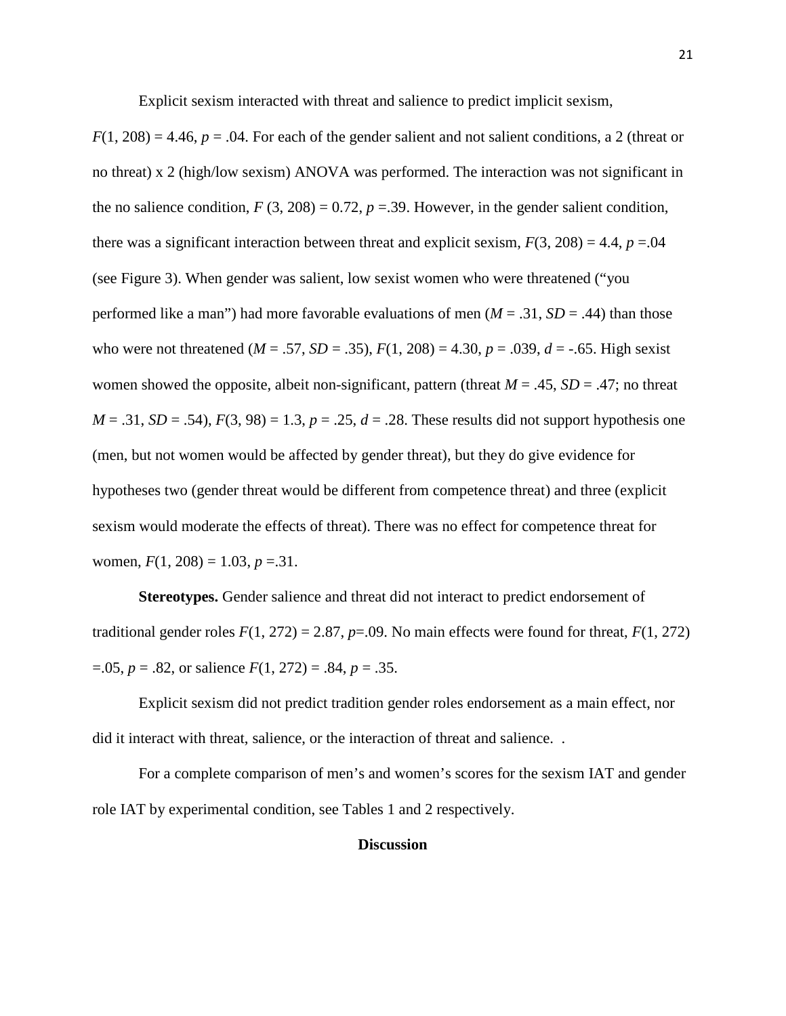Explicit sexism interacted with threat and salience to predict implicit sexism,

 $F(1, 208) = 4.46$ ,  $p = .04$ . For each of the gender salient and not salient conditions, a 2 (threat or no threat) x 2 (high/low sexism) ANOVA was performed. The interaction was not significant in the no salience condition,  $F(3, 208) = 0.72$ ,  $p = 0.39$ . However, in the gender salient condition, there was a significant interaction between threat and explicit sexism,  $F(3, 208) = 4.4$ ,  $p = 0.04$ (see Figure 3). When gender was salient, low sexist women who were threatened ("you performed like a man") had more favorable evaluations of men ( $M = .31$ ,  $SD = .44$ ) than those who were not threatened ( $M = .57$ ,  $SD = .35$ ),  $F(1, 208) = 4.30$ ,  $p = .039$ ,  $d = -.65$ . High sexist women showed the opposite, albeit non-significant, pattern (threat  $M = .45$ ,  $SD = .47$ ; no threat  $M = .31$ ,  $SD = .54$ ),  $F(3, 98) = 1.3$ ,  $p = .25$ ,  $d = .28$ . These results did not support hypothesis one (men, but not women would be affected by gender threat), but they do give evidence for hypotheses two (gender threat would be different from competence threat) and three (explicit sexism would moderate the effects of threat). There was no effect for competence threat for women,  $F(1, 208) = 1.03$ ,  $p = 31$ .

**Stereotypes.** Gender salience and threat did not interact to predict endorsement of traditional gender roles  $F(1, 272) = 2.87$ ,  $p=0.09$ . No main effects were found for threat,  $F(1, 272)$ =.05, *p* = .82, or salience *F*(1, 272) = .84, *p* = .35.

Explicit sexism did not predict tradition gender roles endorsement as a main effect, nor did it interact with threat, salience, or the interaction of threat and salience. .

For a complete comparison of men's and women's scores for the sexism IAT and gender role IAT by experimental condition, see Tables 1 and 2 respectively.

## **Discussion**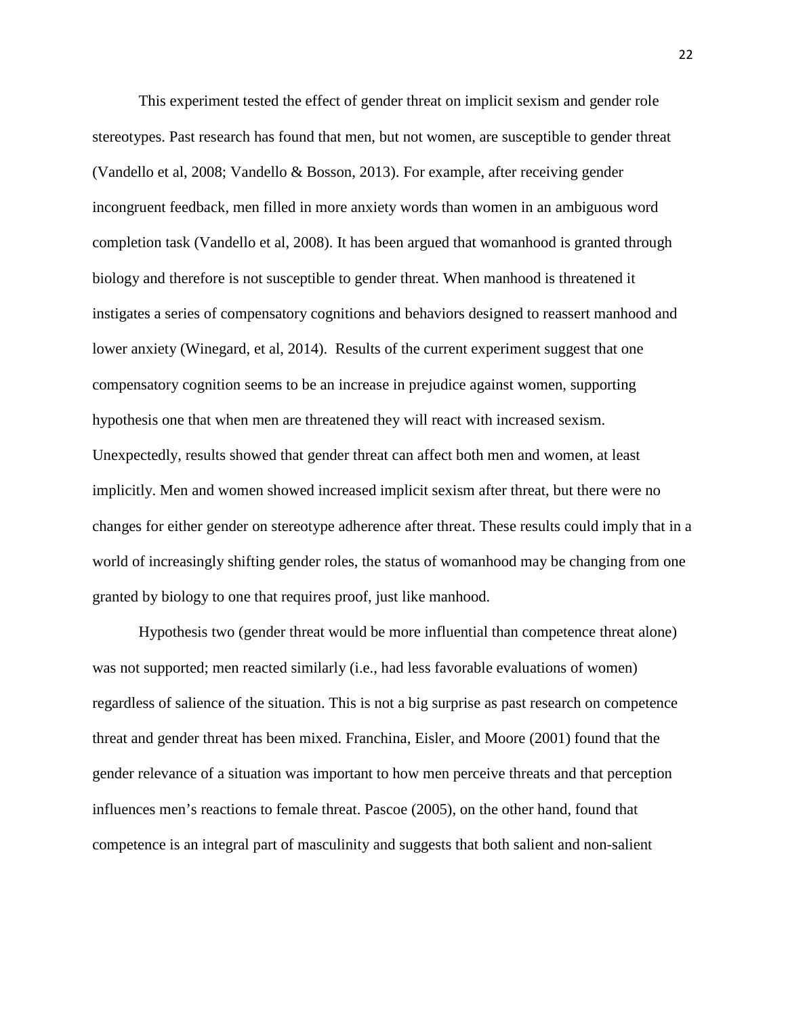This experiment tested the effect of gender threat on implicit sexism and gender role stereotypes. Past research has found that men, but not women, are susceptible to gender threat (Vandello et al, 2008; Vandello & Bosson, 2013). For example, after receiving gender incongruent feedback, men filled in more anxiety words than women in an ambiguous word completion task (Vandello et al, 2008). It has been argued that womanhood is granted through biology and therefore is not susceptible to gender threat. When manhood is threatened it instigates a series of compensatory cognitions and behaviors designed to reassert manhood and lower anxiety (Winegard, et al, 2014). Results of the current experiment suggest that one compensatory cognition seems to be an increase in prejudice against women, supporting hypothesis one that when men are threatened they will react with increased sexism. Unexpectedly, results showed that gender threat can affect both men and women, at least implicitly. Men and women showed increased implicit sexism after threat, but there were no changes for either gender on stereotype adherence after threat. These results could imply that in a world of increasingly shifting gender roles, the status of womanhood may be changing from one granted by biology to one that requires proof, just like manhood.

Hypothesis two (gender threat would be more influential than competence threat alone) was not supported; men reacted similarly (i.e., had less favorable evaluations of women) regardless of salience of the situation. This is not a big surprise as past research on competence threat and gender threat has been mixed. Franchina, Eisler, and Moore (2001) found that the gender relevance of a situation was important to how men perceive threats and that perception influences men's reactions to female threat. Pascoe (2005), on the other hand, found that competence is an integral part of masculinity and suggests that both salient and non-salient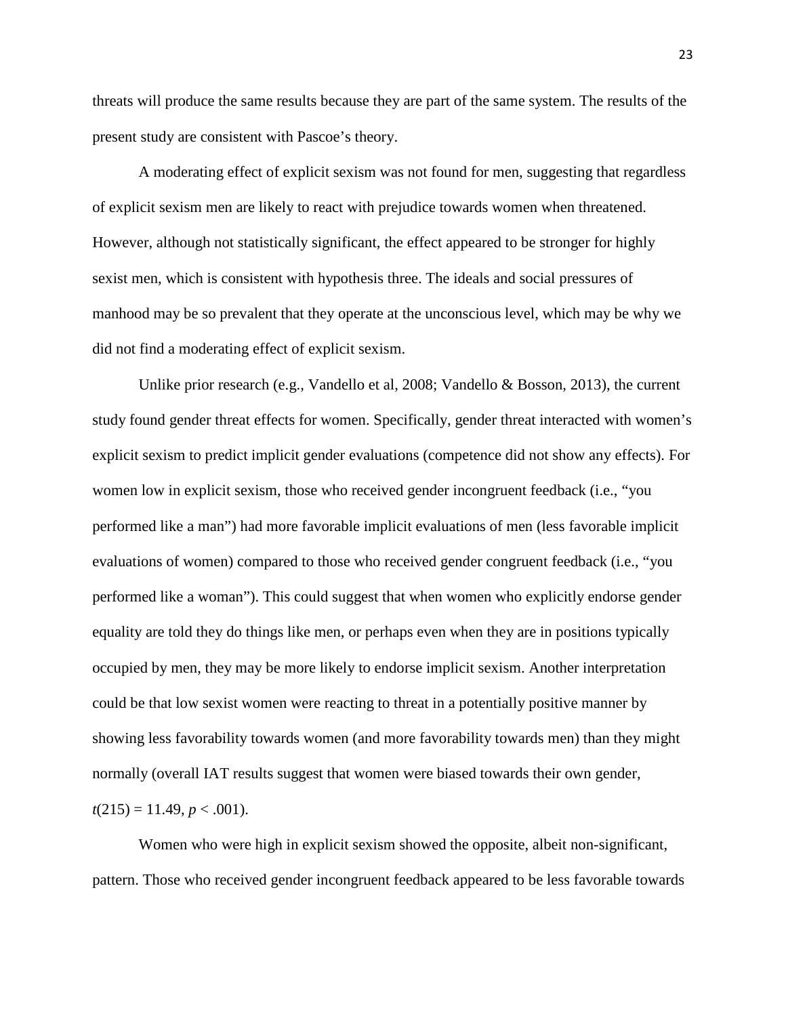threats will produce the same results because they are part of the same system. The results of the present study are consistent with Pascoe's theory.

A moderating effect of explicit sexism was not found for men, suggesting that regardless of explicit sexism men are likely to react with prejudice towards women when threatened. However, although not statistically significant, the effect appeared to be stronger for highly sexist men, which is consistent with hypothesis three. The ideals and social pressures of manhood may be so prevalent that they operate at the unconscious level, which may be why we did not find a moderating effect of explicit sexism.

Unlike prior research (e.g., Vandello et al, 2008; Vandello & Bosson, 2013), the current study found gender threat effects for women. Specifically, gender threat interacted with women's explicit sexism to predict implicit gender evaluations (competence did not show any effects). For women low in explicit sexism, those who received gender incongruent feedback (i.e., "you performed like a man") had more favorable implicit evaluations of men (less favorable implicit evaluations of women) compared to those who received gender congruent feedback (i.e., "you performed like a woman"). This could suggest that when women who explicitly endorse gender equality are told they do things like men, or perhaps even when they are in positions typically occupied by men, they may be more likely to endorse implicit sexism. Another interpretation could be that low sexist women were reacting to threat in a potentially positive manner by showing less favorability towards women (and more favorability towards men) than they might normally (overall IAT results suggest that women were biased towards their own gender,  $t(215) = 11.49, p < .001$ ).

Women who were high in explicit sexism showed the opposite, albeit non-significant, pattern. Those who received gender incongruent feedback appeared to be less favorable towards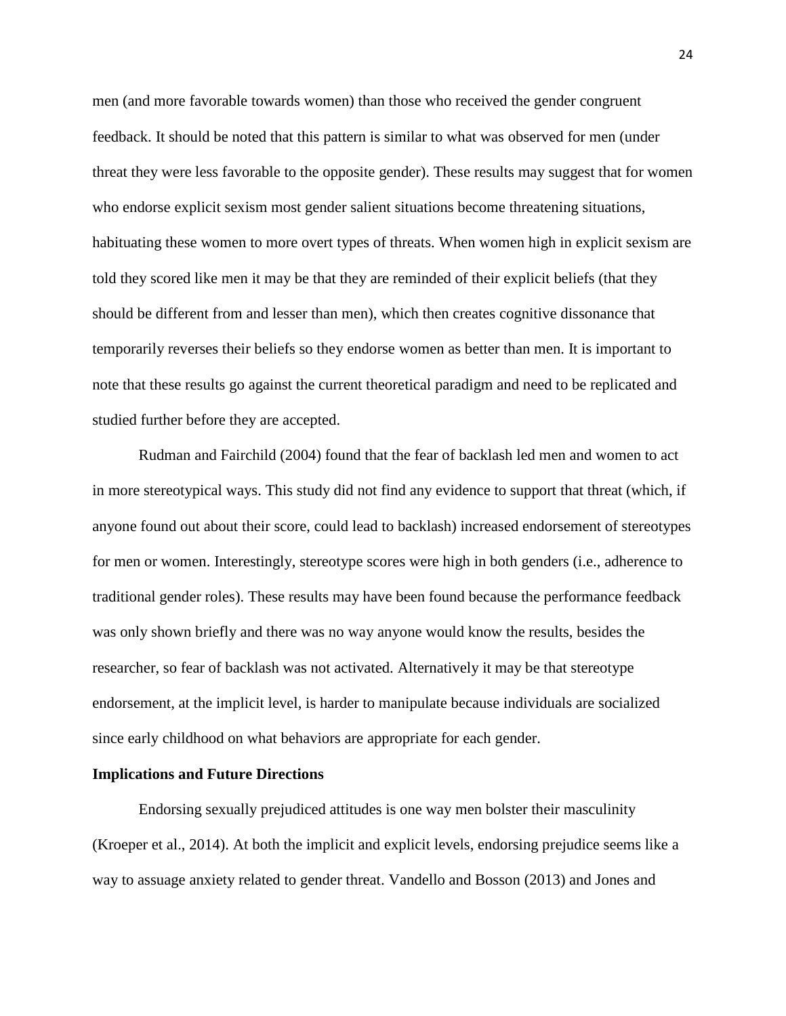men (and more favorable towards women) than those who received the gender congruent feedback. It should be noted that this pattern is similar to what was observed for men (under threat they were less favorable to the opposite gender). These results may suggest that for women who endorse explicit sexism most gender salient situations become threatening situations, habituating these women to more overt types of threats. When women high in explicit sexism are told they scored like men it may be that they are reminded of their explicit beliefs (that they should be different from and lesser than men), which then creates cognitive dissonance that temporarily reverses their beliefs so they endorse women as better than men. It is important to note that these results go against the current theoretical paradigm and need to be replicated and studied further before they are accepted.

Rudman and Fairchild (2004) found that the fear of backlash led men and women to act in more stereotypical ways. This study did not find any evidence to support that threat (which, if anyone found out about their score, could lead to backlash) increased endorsement of stereotypes for men or women. Interestingly, stereotype scores were high in both genders (i.e., adherence to traditional gender roles). These results may have been found because the performance feedback was only shown briefly and there was no way anyone would know the results, besides the researcher, so fear of backlash was not activated. Alternatively it may be that stereotype endorsement, at the implicit level, is harder to manipulate because individuals are socialized since early childhood on what behaviors are appropriate for each gender.

#### **Implications and Future Directions**

Endorsing sexually prejudiced attitudes is one way men bolster their masculinity (Kroeper et al., 2014). At both the implicit and explicit levels, endorsing prejudice seems like a way to assuage anxiety related to gender threat. Vandello and Bosson (2013) and Jones and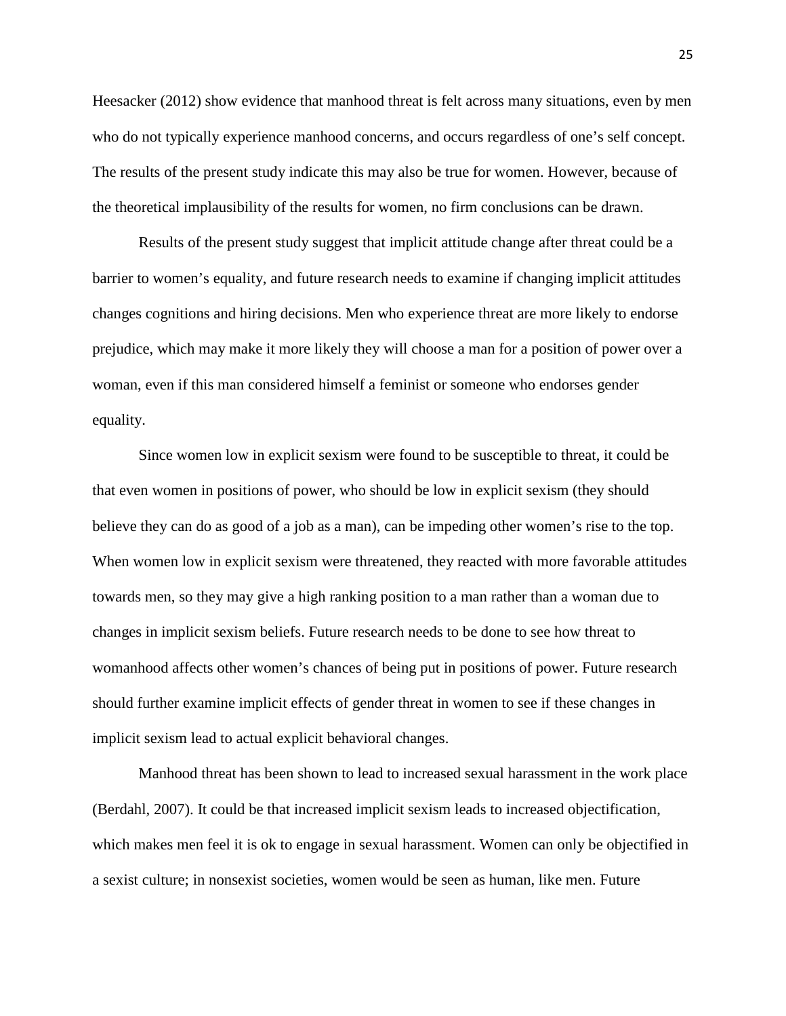Heesacker (2012) show evidence that manhood threat is felt across many situations, even by men who do not typically experience manhood concerns, and occurs regardless of one's self concept. The results of the present study indicate this may also be true for women. However, because of the theoretical implausibility of the results for women, no firm conclusions can be drawn.

Results of the present study suggest that implicit attitude change after threat could be a barrier to women's equality, and future research needs to examine if changing implicit attitudes changes cognitions and hiring decisions. Men who experience threat are more likely to endorse prejudice, which may make it more likely they will choose a man for a position of power over a woman, even if this man considered himself a feminist or someone who endorses gender equality.

Since women low in explicit sexism were found to be susceptible to threat, it could be that even women in positions of power, who should be low in explicit sexism (they should believe they can do as good of a job as a man), can be impeding other women's rise to the top. When women low in explicit sexism were threatened, they reacted with more favorable attitudes towards men, so they may give a high ranking position to a man rather than a woman due to changes in implicit sexism beliefs. Future research needs to be done to see how threat to womanhood affects other women's chances of being put in positions of power. Future research should further examine implicit effects of gender threat in women to see if these changes in implicit sexism lead to actual explicit behavioral changes.

Manhood threat has been shown to lead to increased sexual harassment in the work place (Berdahl, 2007). It could be that increased implicit sexism leads to increased objectification, which makes men feel it is ok to engage in sexual harassment. Women can only be objectified in a sexist culture; in nonsexist societies, women would be seen as human, like men. Future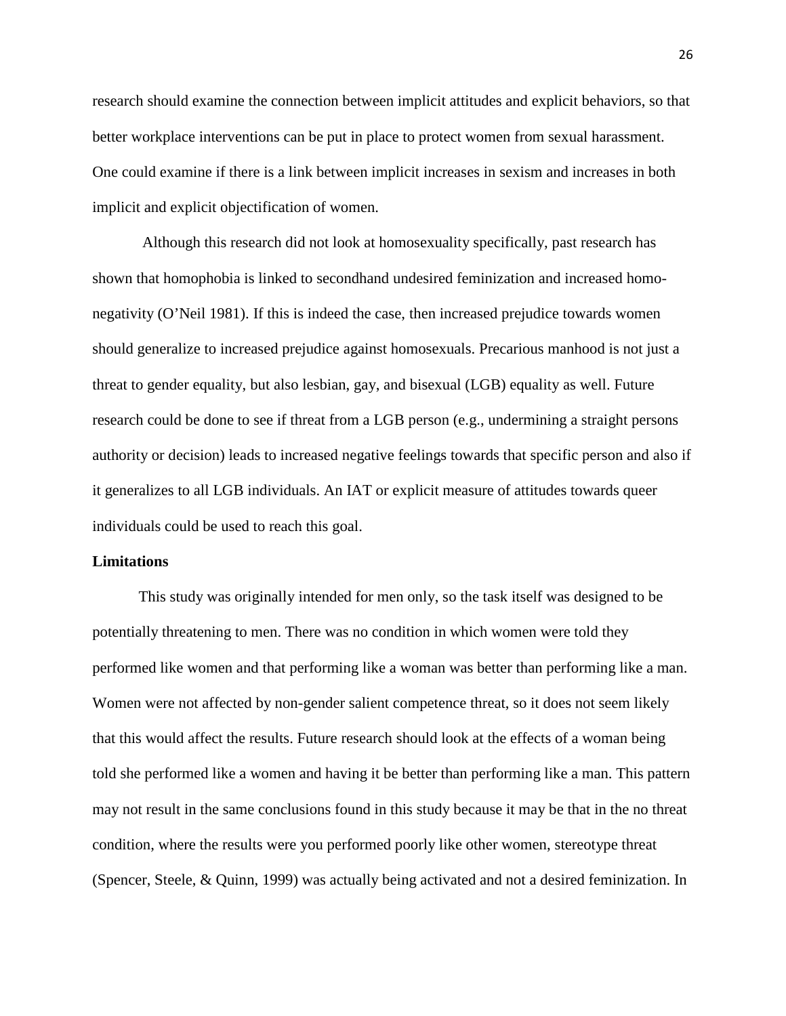research should examine the connection between implicit attitudes and explicit behaviors, so that better workplace interventions can be put in place to protect women from sexual harassment. One could examine if there is a link between implicit increases in sexism and increases in both implicit and explicit objectification of women.

Although this research did not look at homosexuality specifically, past research has shown that homophobia is linked to secondhand undesired feminization and increased homonegativity (O'Neil 1981). If this is indeed the case, then increased prejudice towards women should generalize to increased prejudice against homosexuals. Precarious manhood is not just a threat to gender equality, but also lesbian, gay, and bisexual (LGB) equality as well. Future research could be done to see if threat from a LGB person (e.g., undermining a straight persons authority or decision) leads to increased negative feelings towards that specific person and also if it generalizes to all LGB individuals. An IAT or explicit measure of attitudes towards queer individuals could be used to reach this goal.

## **Limitations**

This study was originally intended for men only, so the task itself was designed to be potentially threatening to men. There was no condition in which women were told they performed like women and that performing like a woman was better than performing like a man. Women were not affected by non-gender salient competence threat, so it does not seem likely that this would affect the results. Future research should look at the effects of a woman being told she performed like a women and having it be better than performing like a man. This pattern may not result in the same conclusions found in this study because it may be that in the no threat condition, where the results were you performed poorly like other women, stereotype threat (Spencer, Steele, & Quinn, 1999) was actually being activated and not a desired feminization. In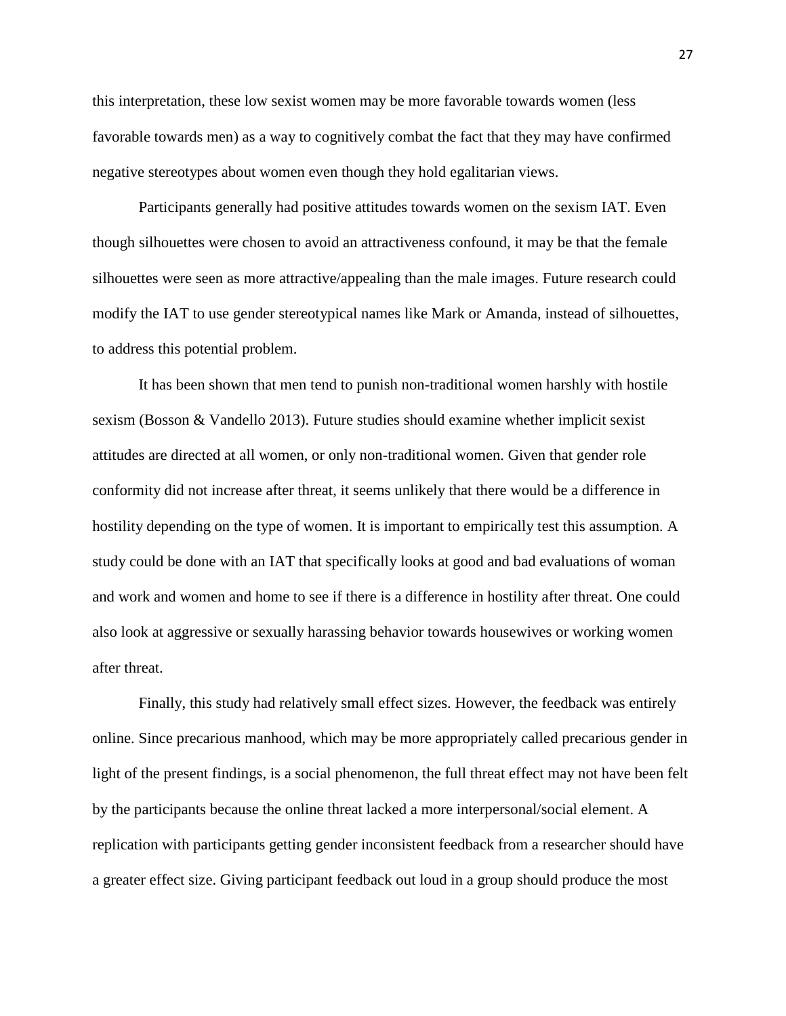this interpretation, these low sexist women may be more favorable towards women (less favorable towards men) as a way to cognitively combat the fact that they may have confirmed negative stereotypes about women even though they hold egalitarian views.

Participants generally had positive attitudes towards women on the sexism IAT. Even though silhouettes were chosen to avoid an attractiveness confound, it may be that the female silhouettes were seen as more attractive/appealing than the male images. Future research could modify the IAT to use gender stereotypical names like Mark or Amanda, instead of silhouettes, to address this potential problem.

It has been shown that men tend to punish non-traditional women harshly with hostile sexism (Bosson & Vandello 2013). Future studies should examine whether implicit sexist attitudes are directed at all women, or only non-traditional women. Given that gender role conformity did not increase after threat, it seems unlikely that there would be a difference in hostility depending on the type of women. It is important to empirically test this assumption. A study could be done with an IAT that specifically looks at good and bad evaluations of woman and work and women and home to see if there is a difference in hostility after threat. One could also look at aggressive or sexually harassing behavior towards housewives or working women after threat.

Finally, this study had relatively small effect sizes. However, the feedback was entirely online. Since precarious manhood, which may be more appropriately called precarious gender in light of the present findings, is a social phenomenon, the full threat effect may not have been felt by the participants because the online threat lacked a more interpersonal/social element. A replication with participants getting gender inconsistent feedback from a researcher should have a greater effect size. Giving participant feedback out loud in a group should produce the most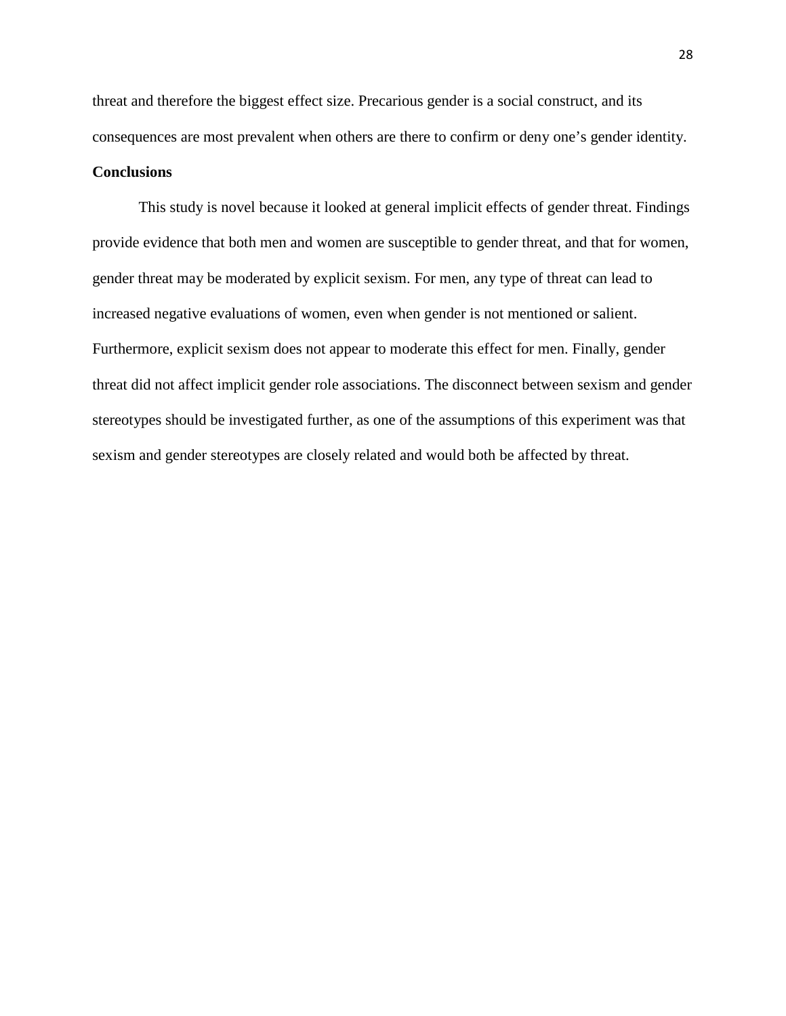threat and therefore the biggest effect size. Precarious gender is a social construct, and its consequences are most prevalent when others are there to confirm or deny one's gender identity.

## **Conclusions**

This study is novel because it looked at general implicit effects of gender threat. Findings provide evidence that both men and women are susceptible to gender threat, and that for women, gender threat may be moderated by explicit sexism. For men, any type of threat can lead to increased negative evaluations of women, even when gender is not mentioned or salient. Furthermore, explicit sexism does not appear to moderate this effect for men. Finally, gender threat did not affect implicit gender role associations. The disconnect between sexism and gender stereotypes should be investigated further, as one of the assumptions of this experiment was that sexism and gender stereotypes are closely related and would both be affected by threat.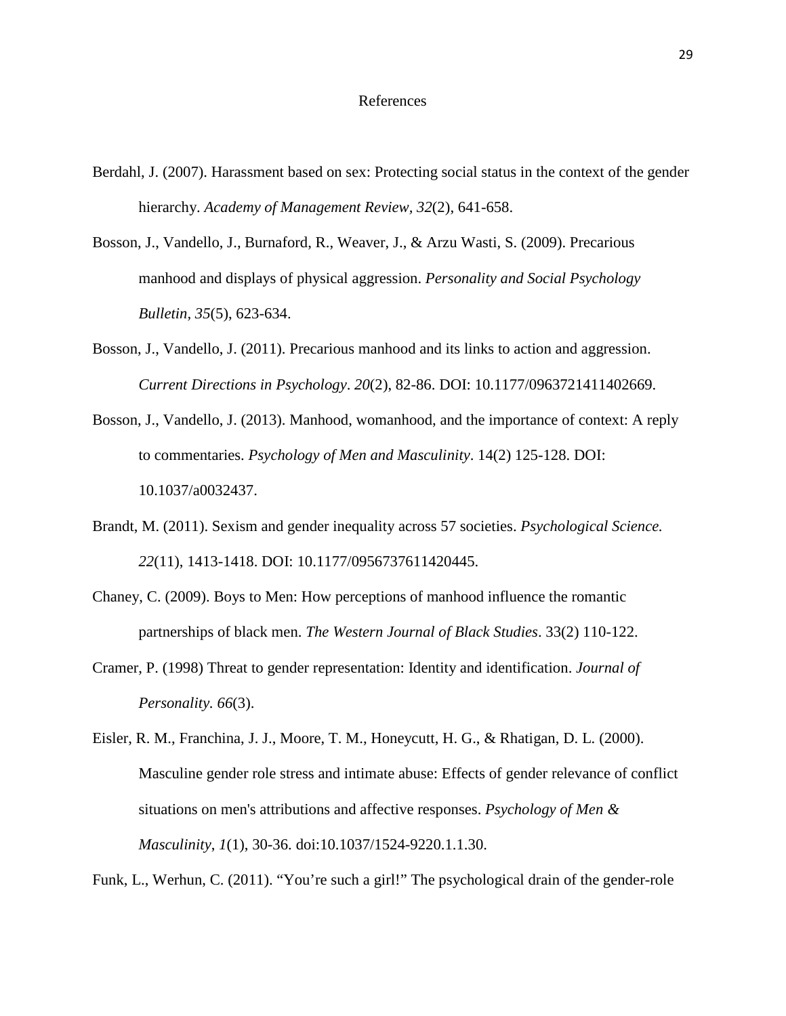#### References

- Berdahl, J. (2007). Harassment based on sex: Protecting social status in the context of the gender hierarchy. *Academy of Management Review, 32*(2), 641-658.
- Bosson, J., Vandello, J., Burnaford, R., Weaver, J., & Arzu Wasti, S. (2009). Precarious manhood and displays of physical aggression. *Personality and Social Psychology Bulletin, 35*(5), 623-634.
- Bosson, J., Vandello, J. (2011). Precarious manhood and its links to action and aggression. *Current Directions in Psychology*. *20*(2), 82-86. DOI: 10.1177/0963721411402669.
- Bosson, J., Vandello, J. (2013). Manhood, womanhood, and the importance of context: A reply to commentaries. *Psychology of Men and Masculinity*. 14(2) 125-128. DOI: 10.1037/a0032437.
- Brandt, M. (2011). Sexism and gender inequality across 57 societies. *Psychological Science. 22*(11), 1413-1418. DOI: 10.1177/0956737611420445.
- Chaney, C. (2009). Boys to Men: How perceptions of manhood influence the romantic partnerships of black men. *The Western Journal of Black Studies*. 33(2) 110-122.
- Cramer, P. (1998) Threat to gender representation: Identity and identification. *Journal of Personality. 66*(3).
- Eisler, R. M., Franchina, J. J., Moore, T. M., Honeycutt, H. G., & Rhatigan, D. L. (2000). Masculine gender role stress and intimate abuse: Effects of gender relevance of conflict situations on men's attributions and affective responses. *Psychology of Men & Masculinity*, *1*(1), 30-36. doi:10.1037/1524-9220.1.1.30.

Funk, L., Werhun, C. (2011). "You're such a girl!" The psychological drain of the gender-role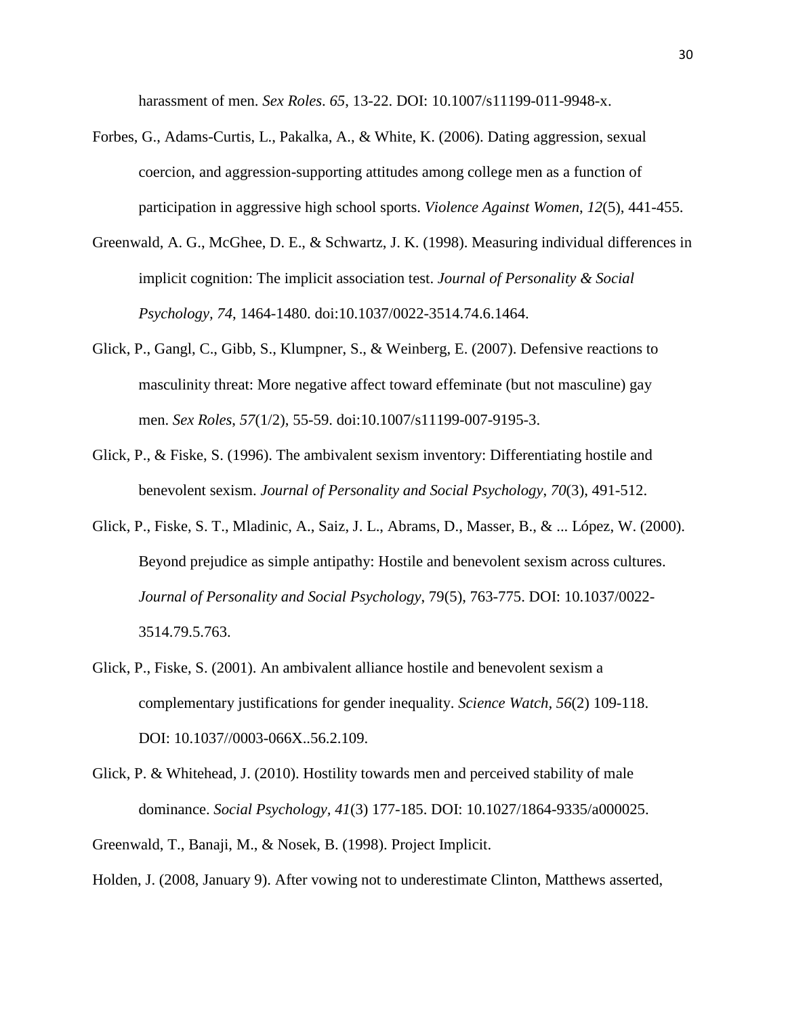harassment of men. *Sex Roles*. *65*, 13-22. DOI: 10.1007/s11199-011-9948-x.

- Forbes, G., Adams-Curtis, L., Pakalka, A., & White, K. (2006). Dating aggression, sexual coercion, and aggression-supporting attitudes among college men as a function of participation in aggressive high school sports. *Violence Against Women*, *12*(5), 441-455.
- Greenwald, A. G., McGhee, D. E., & Schwartz, J. K. (1998). Measuring individual differences in implicit cognition: The implicit association test. *Journal of Personality & Social Psychology, 74*, 1464-1480. doi:10.1037/0022-3514.74.6.1464.
- Glick, P., Gangl, C., Gibb, S., Klumpner, S., & Weinberg, E. (2007). Defensive reactions to masculinity threat: More negative affect toward effeminate (but not masculine) gay men. *Sex Roles*, *57*(1/2), 55-59. doi:10.1007/s11199-007-9195-3.
- Glick, P., & Fiske, S. (1996). The ambivalent sexism inventory: Differentiating hostile and benevolent sexism. *Journal of Personality and Social Psychology*, *70*(3), 491-512.
- Glick, P., Fiske, S. T., Mladinic, A., Saiz, J. L., Abrams, D., Masser, B., & ... López, W. (2000). Beyond prejudice as simple antipathy: Hostile and benevolent sexism across cultures. *Journal of Personality and Social Psychology*, 79(5), 763-775. DOI: 10.1037/0022- 3514.79.5.763.
- Glick, P., Fiske, S. (2001). An ambivalent alliance hostile and benevolent sexism a complementary justifications for gender inequality. *Science Watch, 56*(2) 109-118. DOI: 10.1037//0003-066X..56.2.109.
- Glick, P. & Whitehead, J. (2010). Hostility towards men and perceived stability of male dominance. *Social Psychology, 41*(3) 177-185. DOI: 10.1027/1864-9335/a000025.
- Greenwald, T., Banaji, M., & Nosek, B. (1998). Project Implicit.

Holden, J. (2008, January 9). After vowing not to underestimate Clinton, Matthews asserted,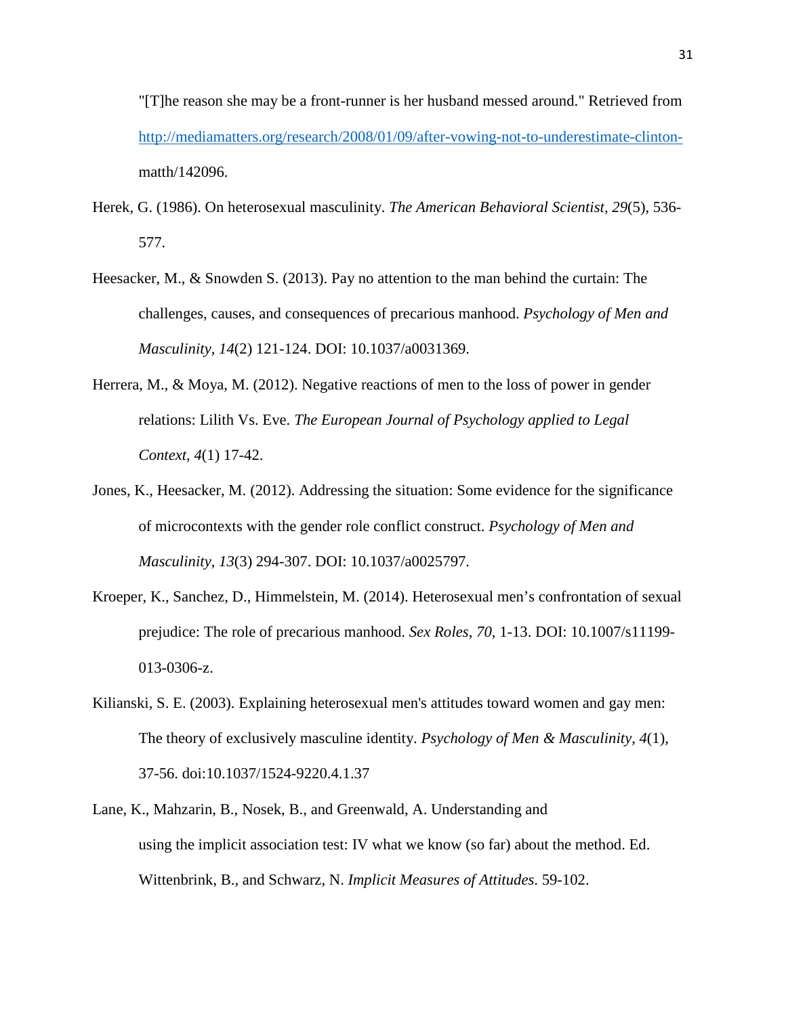"[T]he reason she may be a front-runner is her husband messed around." Retrieved from [http://mediamatters.org/research/2008/01/09/after-vowing-not-to-underestimate-clinton](http://mediamatters.org/research/2008/01/09/after-vowing-not-to-underestimate-clinton-)matth/142096.

- Herek, G. (1986). On heterosexual masculinity. *The American Behavioral Scientist, 29*(5), 536- 577.
- Heesacker, M., & Snowden S. (2013). Pay no attention to the man behind the curtain: The challenges, causes, and consequences of precarious manhood. *Psychology of Men and Masculinity, 14*(2) 121-124. DOI: 10.1037/a0031369.
- Herrera, M., & Moya, M. (2012). Negative reactions of men to the loss of power in gender relations: Lilith Vs. Eve. *The European Journal of Psychology applied to Legal Context, 4*(1) 17-42.
- Jones, K., Heesacker, M. (2012). Addressing the situation: Some evidence for the significance of microcontexts with the gender role conflict construct. *Psychology of Men and Masculinity*, *13*(3) 294-307. DOI: 10.1037/a0025797.
- Kroeper, K., Sanchez, D., Himmelstein, M. (2014). Heterosexual men's confrontation of sexual prejudice: The role of precarious manhood. *Sex Roles*, *70*, 1-13. DOI: 10.1007/s11199- 013-0306-z.
- Kilianski, S. E. (2003). Explaining heterosexual men's attitudes toward women and gay men: The theory of exclusively masculine identity. *Psychology of Men & Masculinity*, *4*(1), 37-56. doi:10.1037/1524-9220.4.1.37
- Lane, K., Mahzarin, B., Nosek, B., and Greenwald, A. Understanding and using the implicit association test: IV what we know (so far) about the method. Ed. Wittenbrink, B., and Schwarz, N. *Implicit Measures of Attitudes*. 59-102.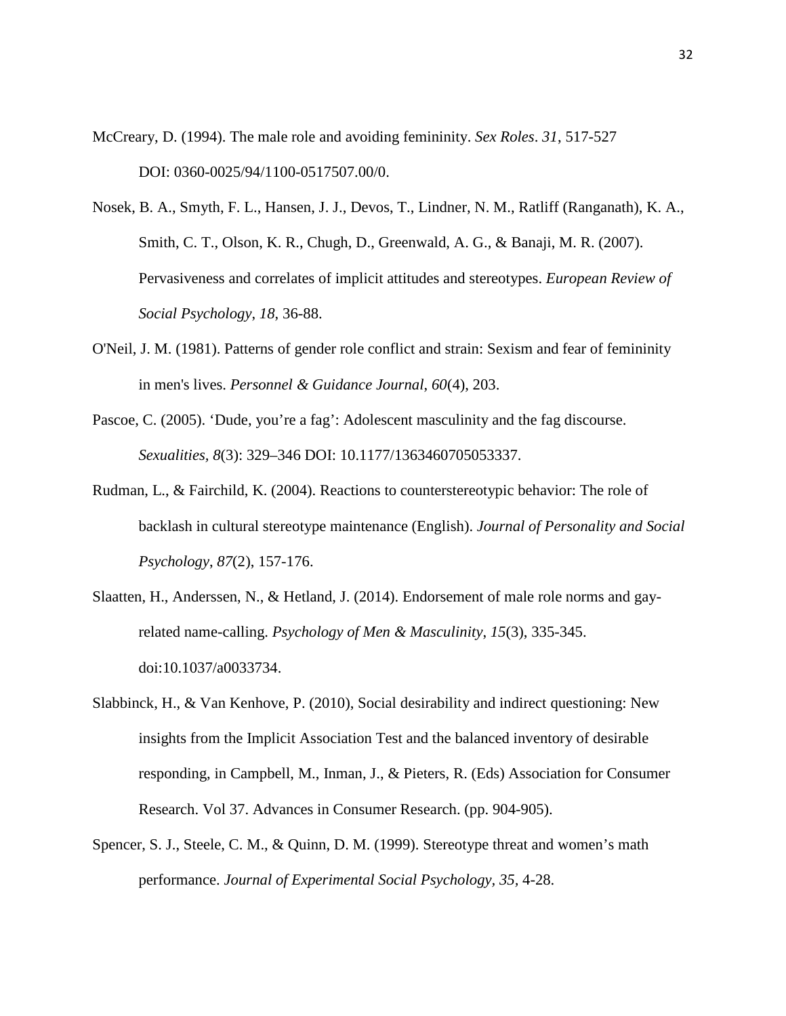McCreary, D. (1994). The male role and avoiding femininity. *Sex Roles*. *31*, 517-527 DOI: 0360-0025/94/1100-0517507.00/0.

- Nosek, B. A., Smyth, F. L., Hansen, J. J., Devos, T., Lindner, N. M., Ratliff (Ranganath), K. A., Smith, C. T., Olson, K. R., Chugh, D., Greenwald, A. G., & Banaji, M. R. (2007). Pervasiveness and correlates of implicit attitudes and stereotypes. *European Review of Social Psychology*, *18*, 36-88.
- O'Neil, J. M. (1981). Patterns of gender role conflict and strain: Sexism and fear of femininity in men's lives. *Personnel & Guidance Journal*, *60*(4), 203.
- Pascoe, C. (2005). 'Dude, you're a fag': Adolescent masculinity and the fag discourse. *Sexualities, 8*(3): 329–346 DOI: 10.1177/1363460705053337.
- Rudman, L., & Fairchild, K. (2004). Reactions to counterstereotypic behavior: The role of backlash in cultural stereotype maintenance (English). *Journal of Personality and Social Psychology*, *87*(2), 157-176.
- Slaatten, H., Anderssen, N., & Hetland, J. (2014). Endorsement of male role norms and gayrelated name-calling. *Psychology of Men & Masculinity*, *15*(3), 335-345. doi:10.1037/a0033734.
- Slabbinck, H., & Van Kenhove, P. (2010), Social desirability and indirect questioning: New insights from the Implicit Association Test and the balanced inventory of desirable responding, in Campbell, M., Inman, J., & Pieters, R. (Eds) Association for Consumer Research. Vol 37. Advances in Consumer Research. (pp. 904-905).
- Spencer, S. J., Steele, C. M., & Quinn, D. M. (1999). Stereotype threat and women's math performance. *Journal of Experimental Social Psychology, 35,* 4-28.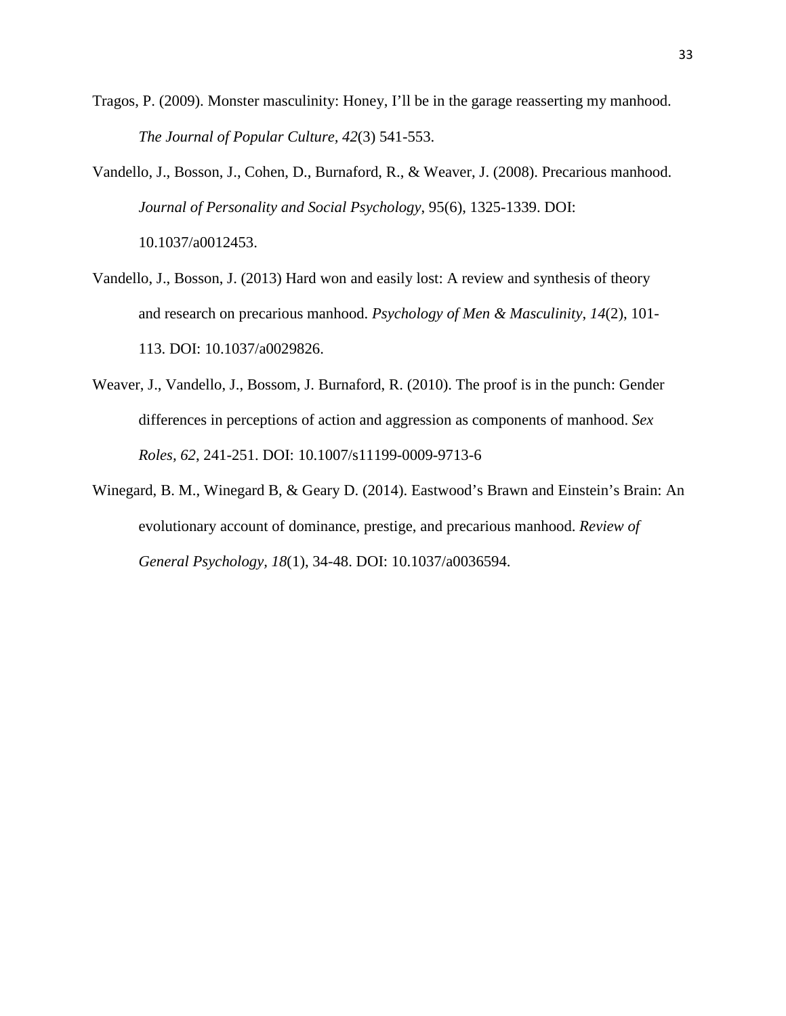- Tragos, P. (2009). Monster masculinity: Honey, I'll be in the garage reasserting my manhood. *The Journal of Popular Culture, 42*(3) 541-553.
- Vandello, J., Bosson, J., Cohen, D., Burnaford, R., & Weaver, J. (2008). Precarious manhood. *Journal of Personality and Social Psychology*, 95(6), 1325-1339. DOI: 10.1037/a0012453.
- Vandello, J., Bosson, J. (2013) Hard won and easily lost: A review and synthesis of theory and research on precarious manhood. *Psychology of Men & Masculinity*, *14*(2), 101- 113. DOI: 10.1037/a0029826.
- Weaver, J., Vandello, J., Bossom, J. Burnaford, R. (2010). The proof is in the punch: Gender differences in perceptions of action and aggression as components of manhood. *Sex Roles, 62*, 241-251. DOI: 10.1007/s11199-0009-9713-6
- Winegard, B. M., Winegard B, & Geary D. (2014). Eastwood's Brawn and Einstein's Brain: An evolutionary account of dominance, prestige, and precarious manhood. *Review of General Psychology, 18*(1), 34-48. DOI: 10.1037/a0036594.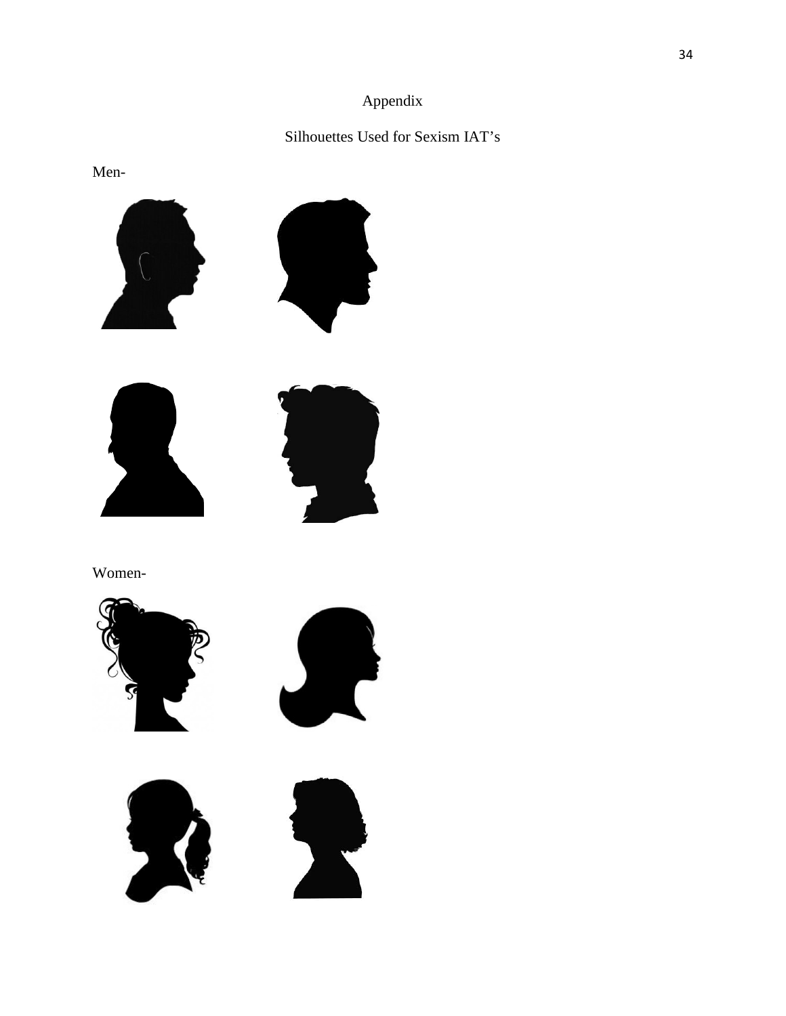# Appendix

# Silhouettes Used for Sexism IAT's

Men-









Women-







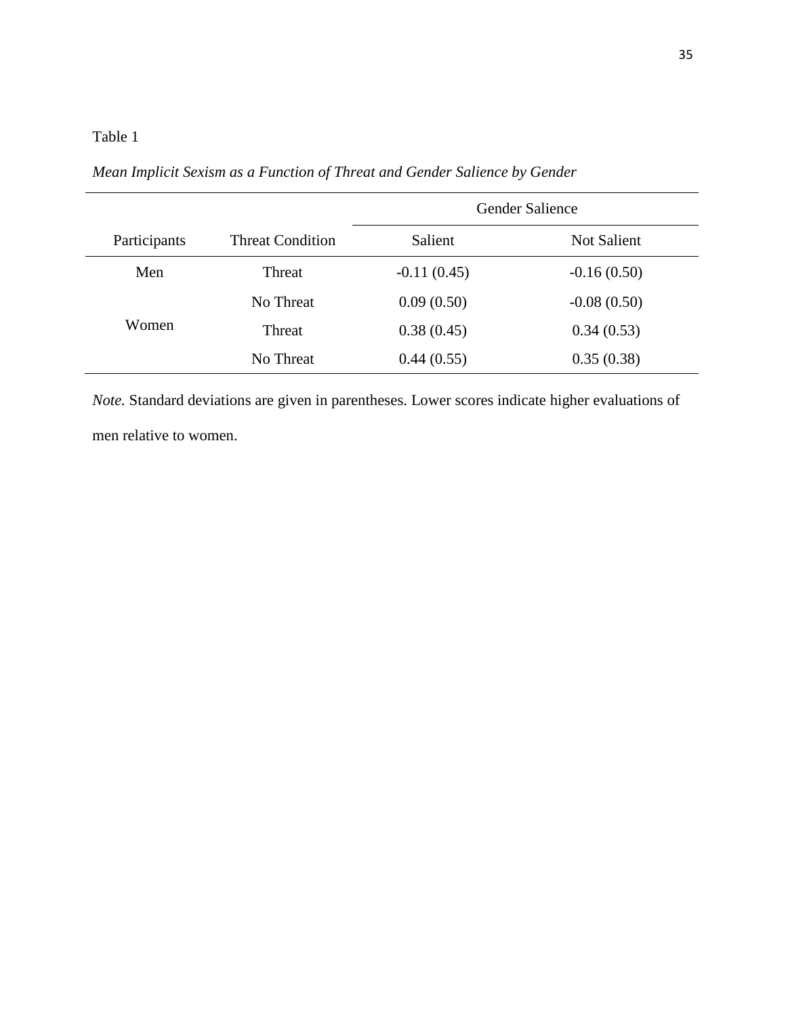# Table 1

*Mean Implicit Sexism as a Function of Threat and Gender Salience by Gender*

|              |                         | Gender Salience |               |
|--------------|-------------------------|-----------------|---------------|
| Participants | <b>Threat Condition</b> | Salient         | Not Salient   |
| Men          | Threat                  | $-0.11(0.45)$   | $-0.16(0.50)$ |
|              | No Threat               | 0.09(0.50)      | $-0.08(0.50)$ |
| Women        | Threat                  | 0.38(0.45)      | 0.34(0.53)    |
|              | No Threat               | 0.44(0.55)      | 0.35(0.38)    |

*Note.* Standard deviations are given in parentheses. Lower scores indicate higher evaluations of men relative to women.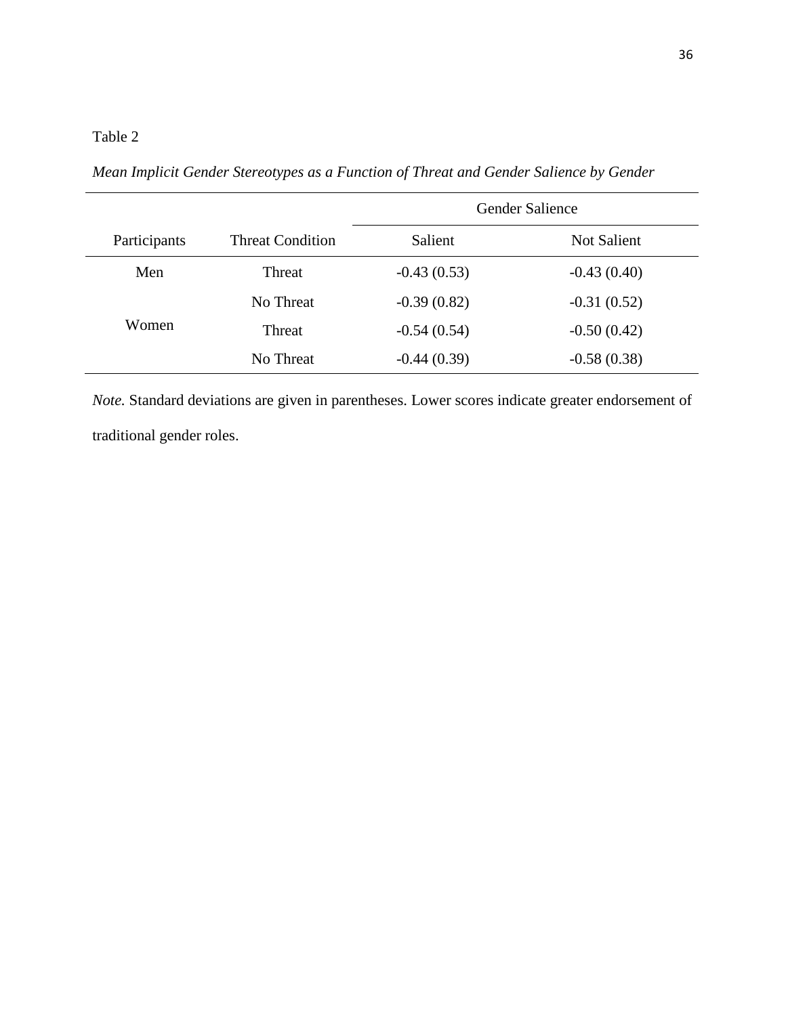# Table 2

*Mean Implicit Gender Stereotypes as a Function of Threat and Gender Salience by Gender*

|              |                         | Gender Salience |               |
|--------------|-------------------------|-----------------|---------------|
| Participants | <b>Threat Condition</b> | Salient         | Not Salient   |
| Men          | Threat                  | $-0.43(0.53)$   | $-0.43(0.40)$ |
|              | No Threat               | $-0.39(0.82)$   | $-0.31(0.52)$ |
| Women        | Threat                  | $-0.54(0.54)$   | $-0.50(0.42)$ |
|              | No Threat               | $-0.44(0.39)$   | $-0.58(0.38)$ |

*Note.* Standard deviations are given in parentheses. Lower scores indicate greater endorsement of traditional gender roles.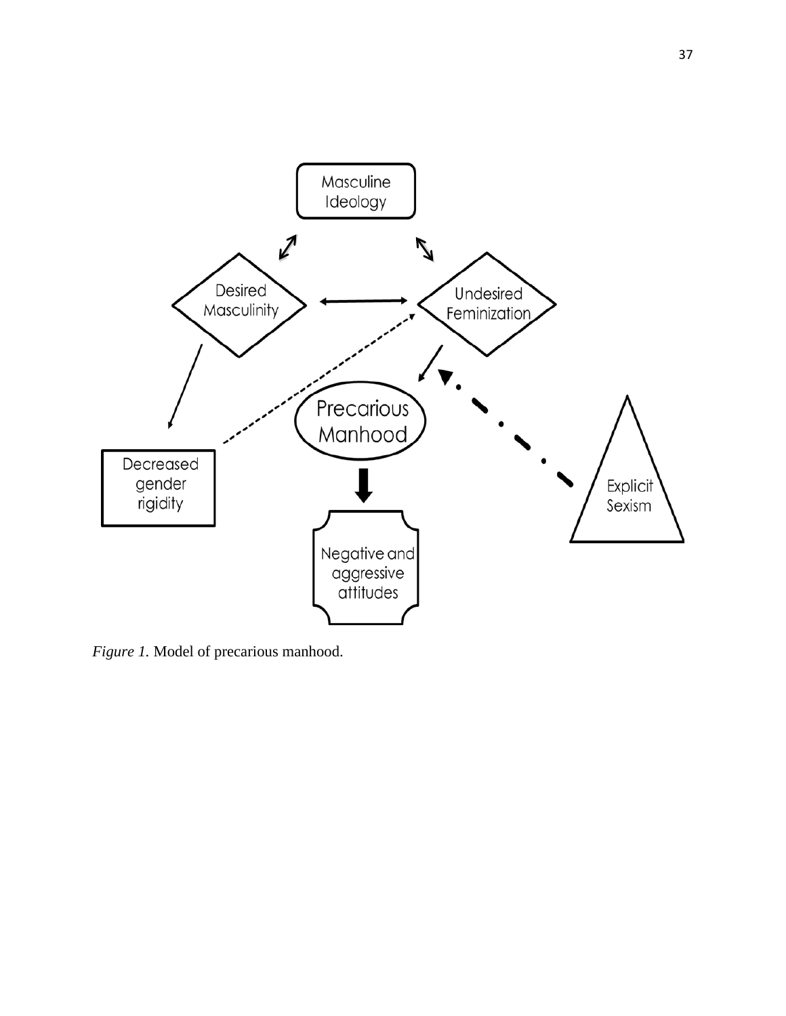

*Figure 1.* Model of precarious manhood.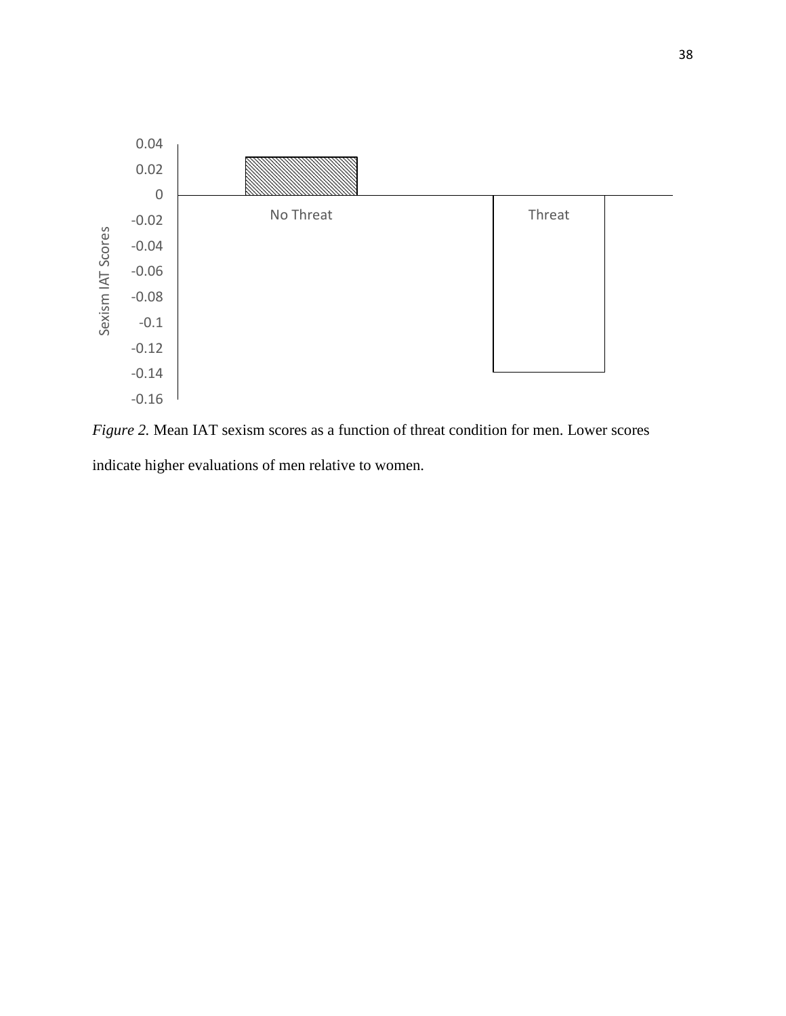

*Figure 2.* Mean IAT sexism scores as a function of threat condition for men. Lower scores indicate higher evaluations of men relative to women.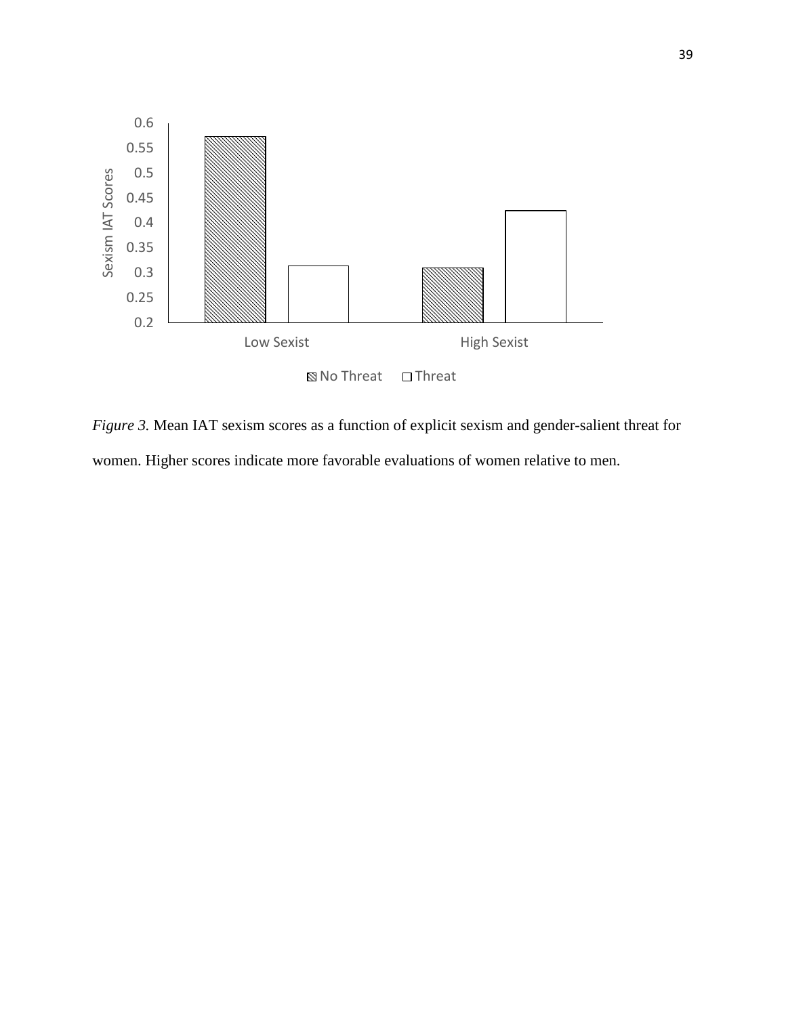

*Figure 3.* Mean IAT sexism scores as a function of explicit sexism and gender-salient threat for women. Higher scores indicate more favorable evaluations of women relative to men.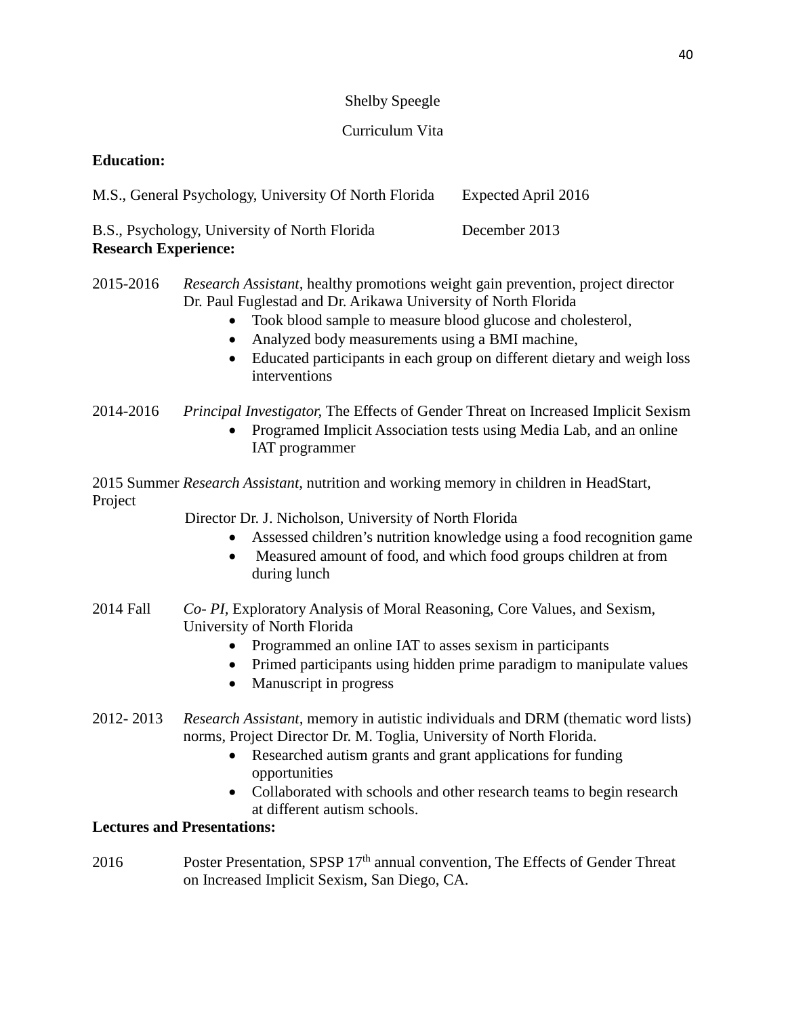## Shelby Speegle

# Curriculum Vita

# **Education:**

| M.S., General Psychology, University Of North Florida | Expected April 2016 |
|-------------------------------------------------------|---------------------|
|-------------------------------------------------------|---------------------|

| B.S., Psychology, University of North Florida | December 2013 |
|-----------------------------------------------|---------------|
| <b>Research Experience:</b>                   |               |

# 2015-2016 *Research Assistant,* healthy promotions weight gain prevention, project director Dr. Paul Fuglestad and Dr. Arikawa University of North Florida

- Took blood sample to measure blood glucose and cholesterol,
- Analyzed body measurements using a BMI machine,
- Educated participants in each group on different dietary and weigh loss interventions

2014-2016 *Principal Investigator,* The Effects of Gender Threat on Increased Implicit Sexism

• Programed Implicit Association tests using Media Lab, and an online IAT programmer

2015 Summer *Research Assistant,* nutrition and working memory in children in HeadStart, Project

Director Dr. J. Nicholson, University of North Florida

- Assessed children's nutrition knowledge using a food recognition game
- Measured amount of food, and which food groups children at from during lunch
- 2014 Fall *Co- PI,* Exploratory Analysis of Moral Reasoning, Core Values, and Sexism, University of North Florida
	- Programmed an online IAT to asses sexism in participants
	- Primed participants using hidden prime paradigm to manipulate values
	- Manuscript in progress
- 2012- 2013 *Research Assistant,* memory in autistic individuals and DRM (thematic word lists) norms, Project Director Dr. M. Toglia, University of North Florida.
	- Researched autism grants and grant applications for funding opportunities
	- Collaborated with schools and other research teams to begin research at different autism schools.

## **Lectures and Presentations:**

2016 Poster Presentation, SPSP  $17<sup>th</sup>$  annual convention, The Effects of Gender Threat on Increased Implicit Sexism, San Diego, CA.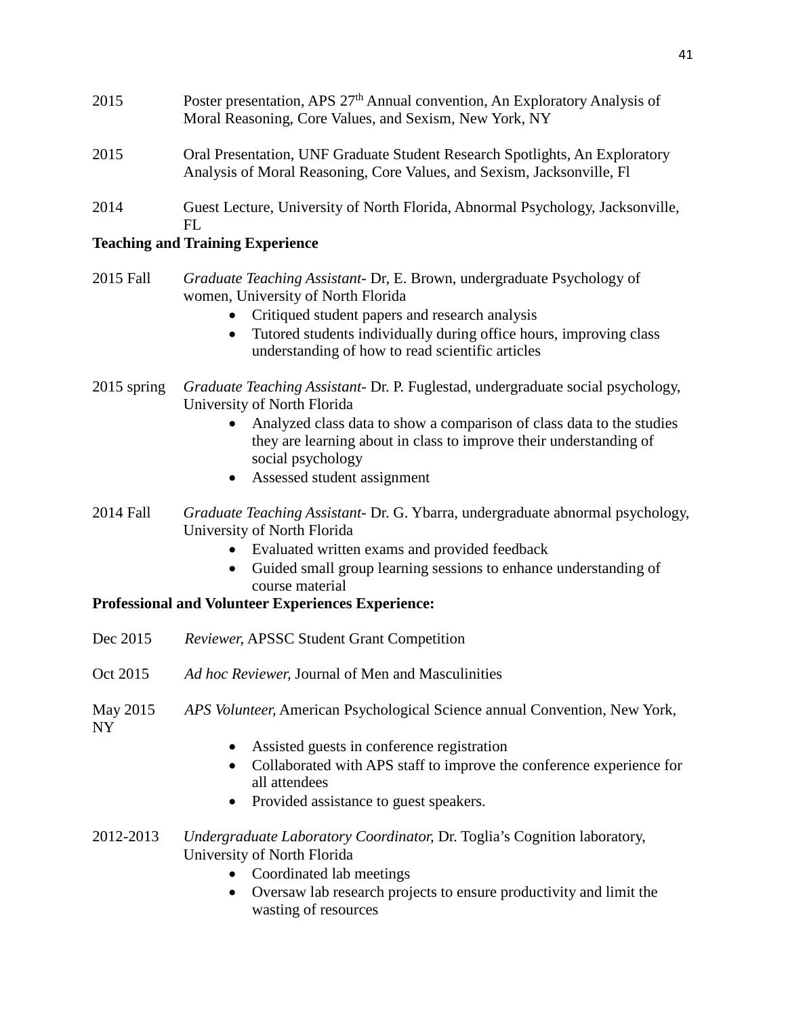- 2015 Poster presentation, APS  $27<sup>th</sup>$  Annual convention, An Exploratory Analysis of Moral Reasoning, Core Values, and Sexism, New York, NY 2015 Oral Presentation, UNF Graduate Student Research Spotlights, An Exploratory Analysis of Moral Reasoning, Core Values, and Sexism, Jacksonville, Fl
- 2014 Guest Lecture, University of North Florida, Abnormal Psychology, Jacksonville,  $FL$

# **Teaching and Training Experience**

- 2015 Fall *Graduate Teaching Assistant* Dr, E. Brown, undergraduate Psychology of women, University of North Florida
	- Critiqued student papers and research analysis
	- Tutored students individually during office hours, improving class understanding of how to read scientific articles
- 2015 spring *Graduate Teaching Assistant* Dr. P. Fuglestad, undergraduate social psychology, University of North Florida
	- Analyzed class data to show a comparison of class data to the studies they are learning about in class to improve their understanding of social psychology
	- Assessed student assignment
- 2014 Fall *Graduate Teaching Assistant* Dr. G. Ybarra, undergraduate abnormal psychology, University of North Florida
	- Evaluated written exams and provided feedback
	- Guided small group learning sessions to enhance understanding of course material

# **Professional and Volunteer Experiences Experience:**

- Dec 2015 *Reviewer,* APSSC Student Grant Competition
- Oct 2015 *Ad hoc Reviewer,* Journal of Men and Masculinities
- May 2015 *APS Volunteer,* American Psychological Science annual Convention, New York, NY
	- Assisted guests in conference registration
	- Collaborated with APS staff to improve the conference experience for all attendees
	- Provided assistance to guest speakers.
- 2012-2013 *Undergraduate Laboratory Coordinator,* Dr. Toglia's Cognition laboratory, University of North Florida
	- Coordinated lab meetings
	- Oversaw lab research projects to ensure productivity and limit the wasting of resources